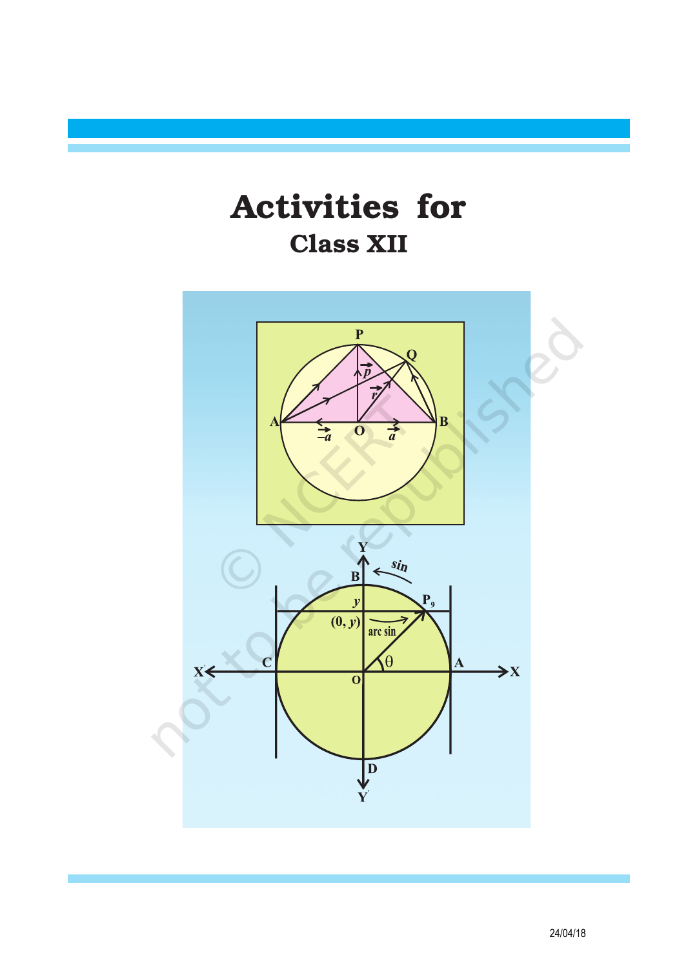Activities for Class XII

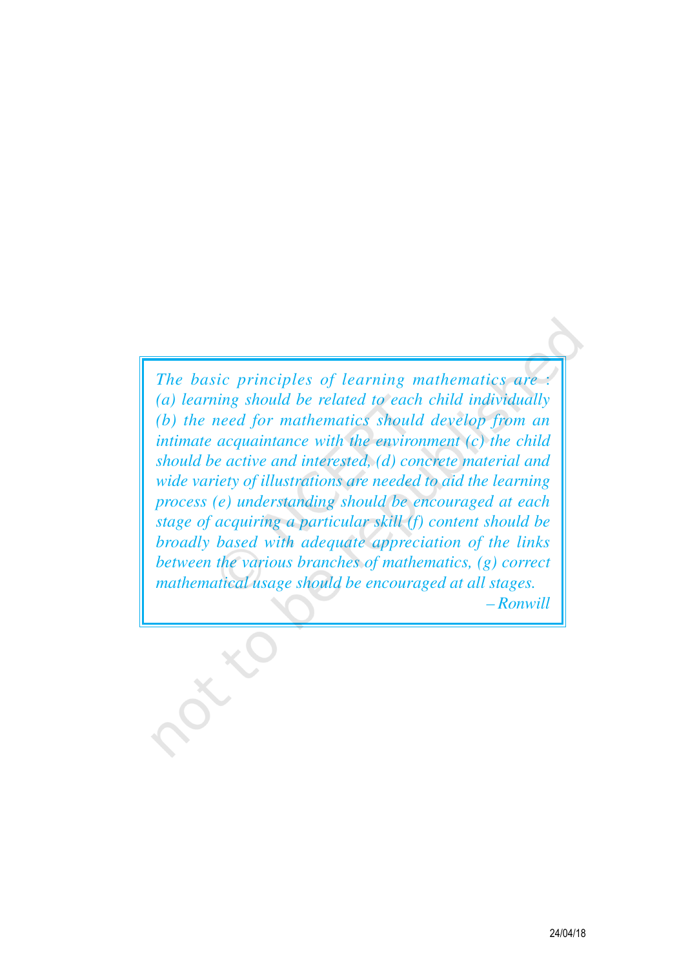*The basic principles of learning mathematics are* : *(a) learning should be related to each child individually (b) the need for mathematics should develop from an intimate acquaintance with the environment (c) the child should be active and interested, (d) concrete material and wide variety of illustrations are needed to aid the learning process (e) understanding should be encouraged at each stage of acquiring a particular skill (f) content should be broadly based with adequate appreciation of the links between the various branches of mathematics, (g) correct mathematical usage should be encouraged at all stages. – Ronwill*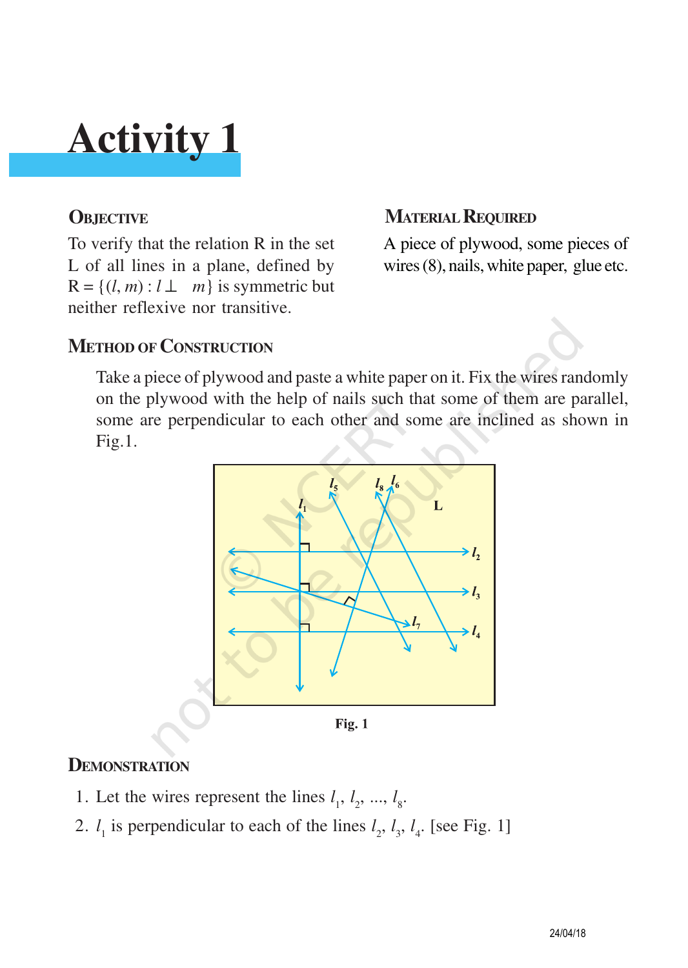To verify that the relation R in the set L of all lines in a plane, defined by  $R = \{(l, m) : l \perp m\}$  is symmetric but neither reflexive nor transitive.

### **OBJECTIVE MATERIAL REQUIRED**

A piece of plywood, some pieces of wires (8), nails, white paper, glue etc.

### **METHOD OF CONSTRUCTION**

Take a piece of plywood and paste a white paper on it. Fix the wires randomly on the plywood with the help of nails such that some of them are parallel, some are perpendicular to each other and some are inclined as shown in Fig.1.



#### **DEMONSTRATION**

- 1. Let the wires represent the lines  $l_1, l_2, ..., l_s$ .
- 2.  $l_1$  is perpendicular to each of the lines  $l_2$ ,  $l_3$ ,  $l_4$ . [see Fig. 1]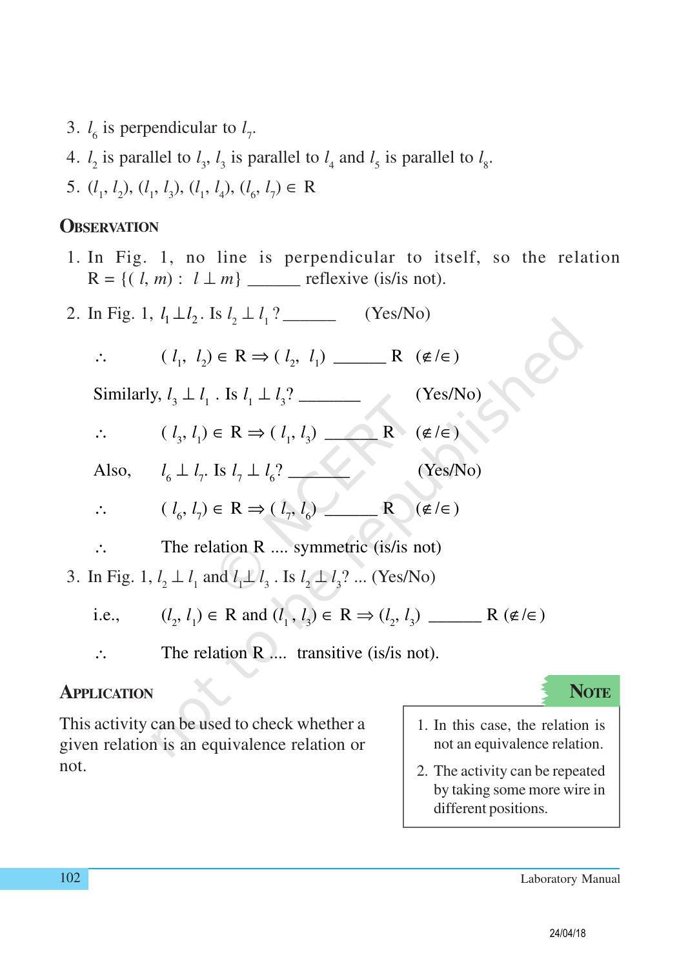- 3.  $l_6$  is perpendicular to  $l_7$ .
- 4.  $l_2$  is parallel to  $l_3$ ,  $l_3$  is parallel to  $l_4$  and  $l_5$  is parallel to  $l_8$ .
- 5.  $(l_1, l_2), (l_1, l_3), (l_1, l_4), (l_6, l_7) \in \mathbb{R}$

#### **OBSERVATION**

- 1. In Fig. 1, no line is perpendicular to itself, so the relation  $R = \{ (l, m) : l \perp m \}$  \_\_\_\_\_\_\_ reflexive (is/is not).
- 2. In Fig. 1,  $l_1 \perp l_2$ . Is  $l_2 \perp l_1$ ? \_\_\_\_\_\_\_\_ (Yes/No)
	- ∴ ( *l* 1 , *l* 2 ) ∈ R ⇒ ( *l* 2 , *l* 1 ) \_\_\_\_\_\_ R (∉/∈)

Similarly,  $l_3 \perp l_1$ . Is  $l_1 \perp l_3$ ? \_\_\_\_\_\_\_\_ (Yes/No)

- ∴  $(l_3, l_1) \in R \Rightarrow (l_1, l_3)$  R (∉/∈)
- Also, *l* <sup>6</sup> ⊥ *l* 7 . Is *l* <sup>7</sup> ⊥ *l* 6 ? \_\_\_\_\_\_\_ (Yes/No)
- ∴ ( *l*  $\lambda_{\epsilon}, l_{\gamma} \in \mathbb{R} \Rightarrow (l_{\gamma}, l_{\epsilon})$  (∉/∈)
- ∴ The relation R .... symmetric (is/is not)
- 3. In Fig. 1,  $l_2 \perp l_1$  and  $l_1 \perp l_3$ . Is  $l_2 \perp l_3$ ? ... (Yes/No)

i.e., (*l* 2 , *l*1 ) ∈ R and (*l* <sup>1</sup>, *l* 3 ) ∈ R ⇒ (*l* 2 , *l* 3 ) \_\_\_\_\_\_ R (∉/∈)

∴ The relation R .... transitive (is/is not).

#### **APPLICATION**

**NOTE**

This activity can be used to check whether a given relation is an equivalence relation or not.

- 1. In this case, the relation is not an equivalence relation.
- 2. The activity can be repeated by taking some more wire in different positions.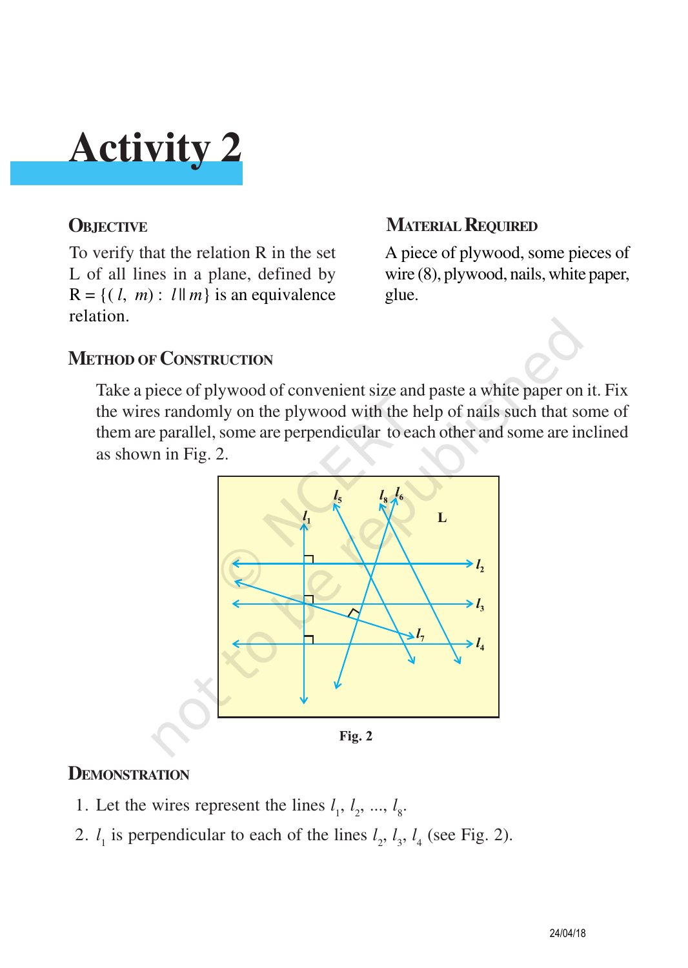To verify that the relation R in the set L of all lines in a plane, defined by  $R = \{ (l, m) : l \parallel m \}$  is an equivalence relation.

### **OBJECTIVE MATERIAL REQUIRED**

A piece of plywood, some pieces of wire (8), plywood, nails, white paper, glue.

#### **METHOD OF CONSTRUCTION**

Take a piece of plywood of convenient size and paste a white paper on it. Fix the wires randomly on the plywood with the help of nails such that some of them are parallel, some are perpendicular to each other and some are inclined as shown in Fig. 2.



#### **DEMONSTRATION**

- 1. Let the wires represent the lines  $l_1, l_2, ..., l_s$ .
- 2.  $l_1$  is perpendicular to each of the lines  $l_2$ ,  $l_3$ ,  $l_4$  (see Fig. 2).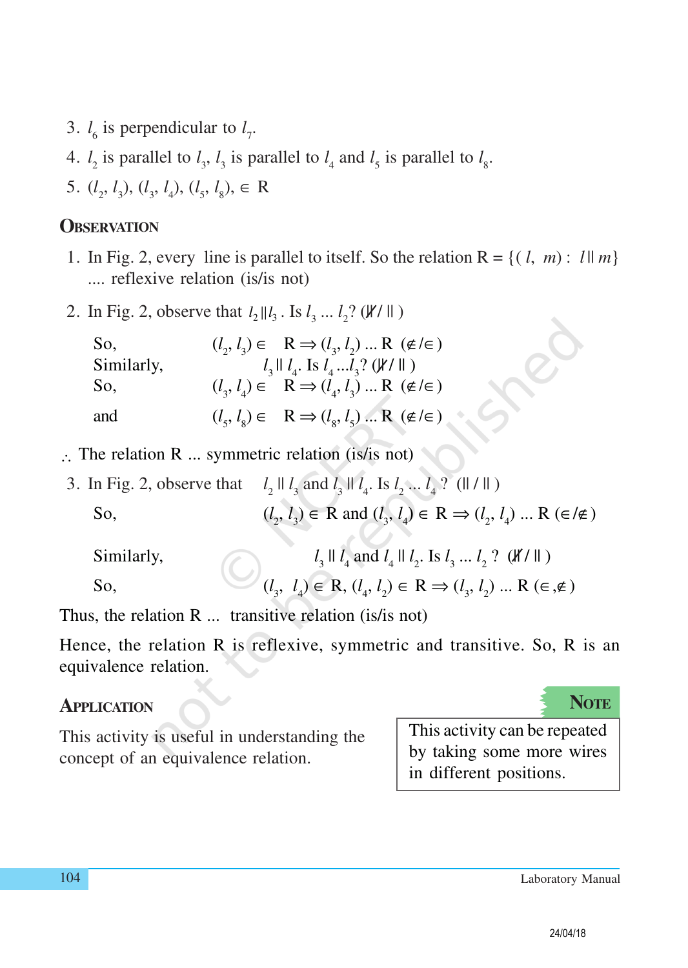- 3.  $l_6$  is perpendicular to  $l_7$ .
- 4.  $l_2$  is parallel to  $l_3$ ,  $l_3$  is parallel to  $l_4$  and  $l_5$  is parallel to  $l_8$ .
- 5.  $(l_2, l_3)$ ,  $(l_3, l_4)$ ,  $(l_5, l_8)$ ,  $\in \mathbb{R}$

#### **OBSERVATION**

- 1. In Fig. 2, every line is parallel to itself. So the relation  $R = \{(l, m): l \mid m\}$ .... reflexive relation (is/is not)
- 2. In Fig. 2, observe that  $l_2 || l_3$ . Is  $l_3 ... l_2$ ? ( $\mathcal{Y}/\mathcal{V}$ )

| So,        | $(l_2, l_3) \in R \Rightarrow (l_3, l_2) \dots R$ ( $\notin \in \mathcal{E}$ )       |
|------------|--------------------------------------------------------------------------------------|
| Similarly, | $l_3 \parallel l_4$ . Is $l_4l_3$ ? ( $\forall l \parallel$ )                        |
| So,        | $(l_3, l_4) \in R \Rightarrow (l_4, l_3) \dots R$ ( $\notin \in \mathcal{E}$ )       |
| and        | $(l_s, l_s) \in \mathbb{R} \Rightarrow (l_s, l_s) \dots \mathbb{R} \ (\notin / \in)$ |

- ∴ The relation R ... symmetric relation (is/is not)
- 3. In Fig. 2, observe that *l*  $l_2$  ||  $l_3$  and  $l_3$  ||  $l_4$ . Is  $l_2$  ...  $l_4$  ? (|| / || ) So, (*l*  $(l_2, l_3) \in R$  and  $(l_3, l_4) \in R \Rightarrow (l_2, l_4) \dots R \in \mathcal{I} \neq 0$

| Similarly, | $l_3 \parallel l_4$ and $l_4 \parallel l_2$ . Is $l_3 \ldots l_2$ ? ( <i>K/</i> $\parallel$ )                 |
|------------|---------------------------------------------------------------------------------------------------------------|
| So,        | $(l_3, l_4) \in \mathbb{R}, (l_4, l_2) \in \mathbb{R} \Rightarrow (l_3, l_2) \dots \mathbb{R} \in \mathbb{R}$ |

Thus, the relation R ... transitive relation (is/is not)

Hence, the relation R is reflexive, symmetric and transitive. So, R is an equivalence relation.

#### **APPLICATION**

**NOTE**

This activity is useful in understanding the concept of an equivalence relation.

This activity can be repeated by taking some more wires in different positions.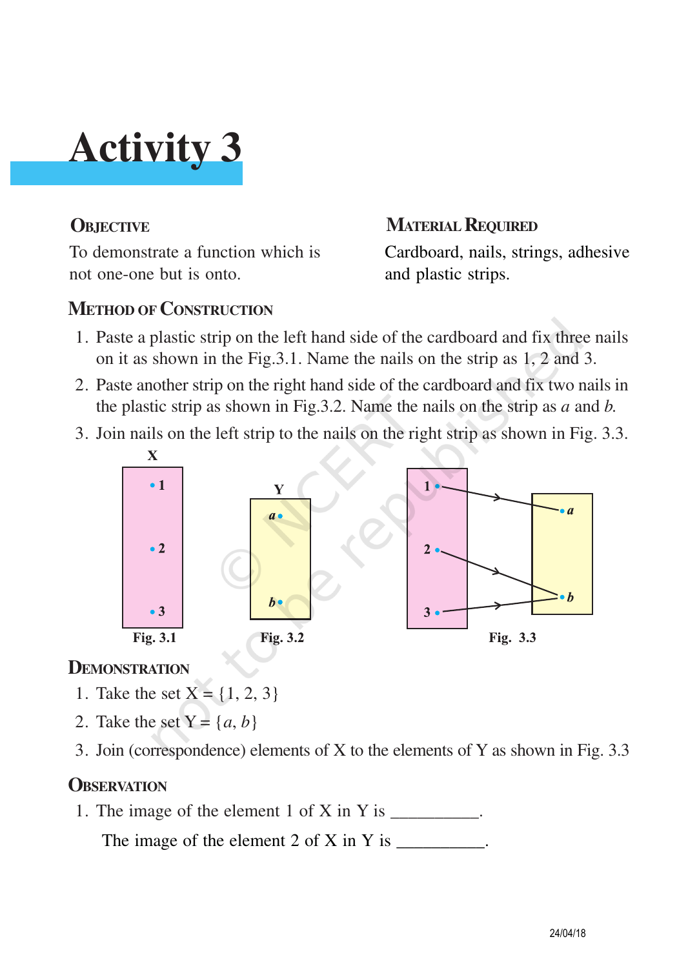

To demonstrate a function which is not one-one but is onto.

#### **OBJECTIVE MATERIAL REQUIRED**

Cardboard, nails, strings, adhesive and plastic strips.

#### **METHOD OF CONSTRUCTION**

- 1. Paste a plastic strip on the left hand side of the cardboard and fix three nails on it as shown in the Fig.3.1. Name the nails on the strip as 1, 2 and 3.
- 2. Paste another strip on the right hand side of the cardboard and fix two nails in the plastic strip as shown in Fig.3.2. Name the nails on the strip as *a* and *b.*
- 3. Join nails on the left strip to the nails on the right strip as shown in Fig. 3.3.



#### **DEMONSTRATION**

- 1. Take the set  $X = \{1, 2, 3\}$
- 2. Take the set  $Y = \{a, b\}$
- 3. Join (correspondence) elements of X to the elements of Y as shown in Fig. 3.3

#### **OBSERVATION**

1. The image of the element  $1$  of  $X$  in  $Y$  is  $\qquad \qquad$ .

The image of the element 2 of X in Y is  $\frac{1}{\sqrt{2\pi}}$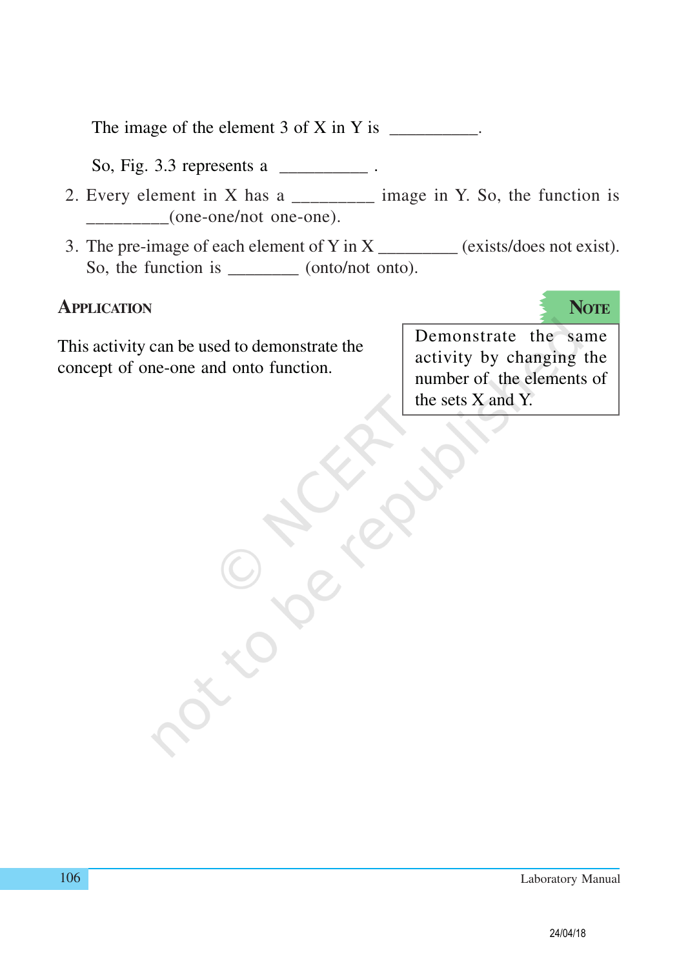The image of the element  $3$  of  $X$  in  $Y$  is  $\Box$ 

So, Fig. 3.3 represents a \_\_\_\_\_\_\_\_\_\_ .

- 2. Every element in X has a  $\frac{1}{2}$  image in Y. So, the function is \_\_\_\_\_\_\_\_\_(one-one/not one-one).
- 3. The pre-image of each element of Y in X  $\_\_\_\_\_\_\_\_\_\_\_\_\_\_\_\_\_\_\_\_$ So, the function is \_\_\_\_\_\_\_\_\_ (onto/not onto).

#### **APPLICATION**

This activity can be used to demonstrate the concept of one-one and onto function.

Demonstrate the same activity by changing the number of the elements of the sets X and Y.

**NOTE**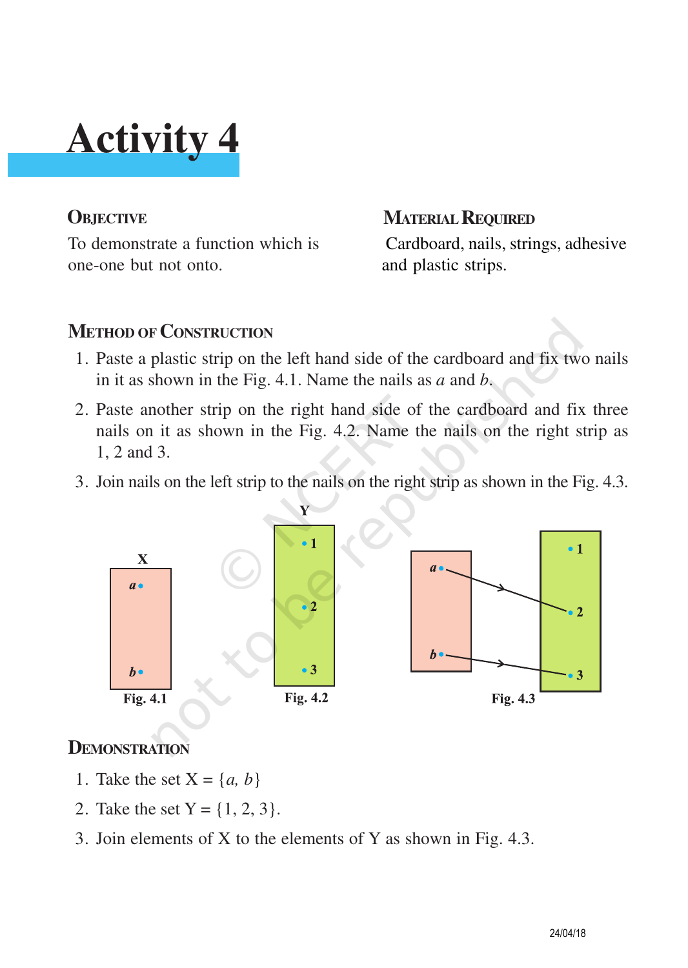To demonstrate a function which is one-one but not onto.

#### **OBJECTIVE MATERIAL REQUIRED**

Cardboard, nails, strings, adhesive and plastic strips.

#### **METHOD OF CONSTRUCTION**

- 1. Paste a plastic strip on the left hand side of the cardboard and fix two nails in it as shown in the Fig. 4.1. Name the nails as *a* and *b*.
- 2. Paste another strip on the right hand side of the cardboard and fix three nails on it as shown in the Fig. 4.2. Name the nails on the right strip as 1, 2 and 3.
- 3. Join nails on the left strip to the nails on the right strip as shown in the Fig. 4.3.



#### **DEMONSTRATION**

- 1. Take the set  $X = \{a, b\}$
- 2. Take the set  $Y = \{1, 2, 3\}.$
- 3. Join elements of X to the elements of Y as shown in Fig. 4.3.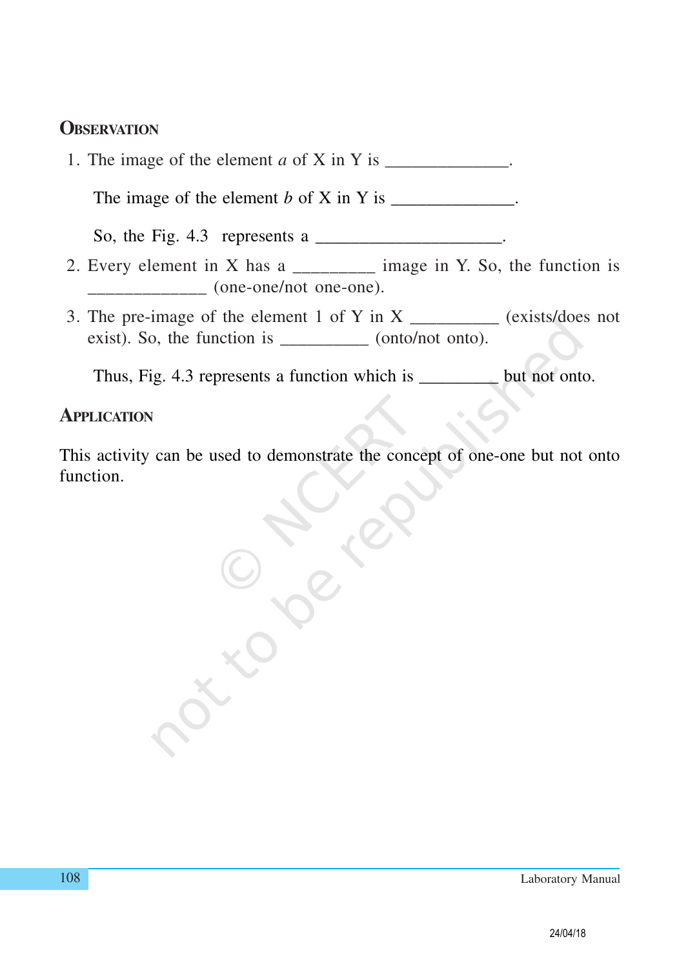#### **OBSERVATION**

1. The image of the element  $a$  of  $X$  in  $Y$  is  $\_\_\_\_\_\_\_\_\_\_\_\_\_\_\_\_\_\_\_\_\_$ .

The image of the element  $b$  of  $X$  in  $Y$  is  $\_\_\_\_\_\_\_\_\_\_\_\_\_\_\_\_\_\_\_\_\_\_\_$ .

So, the Fig. 4.3 represents a  $\frac{1}{\sqrt{2}}$ .

- 2. Every element in X has a  $\frac{1}{2}$  image in Y. So, the function is  $\qquad$  (one-one/not one-one).
- 3. The pre-image of the element 1 of Y in X  $\_\_\_\_\_\_\_\_\_\_\_$  (exists/does not exist). So, the function is \_\_\_\_\_\_\_\_\_\_ (onto/not onto).

Thus, Fig. 4.3 represents a function which is \_\_\_\_\_\_\_\_\_ but not onto.

#### **APPLICATION**

This activity can be used to demonstrate the concept of one-one but not onto function.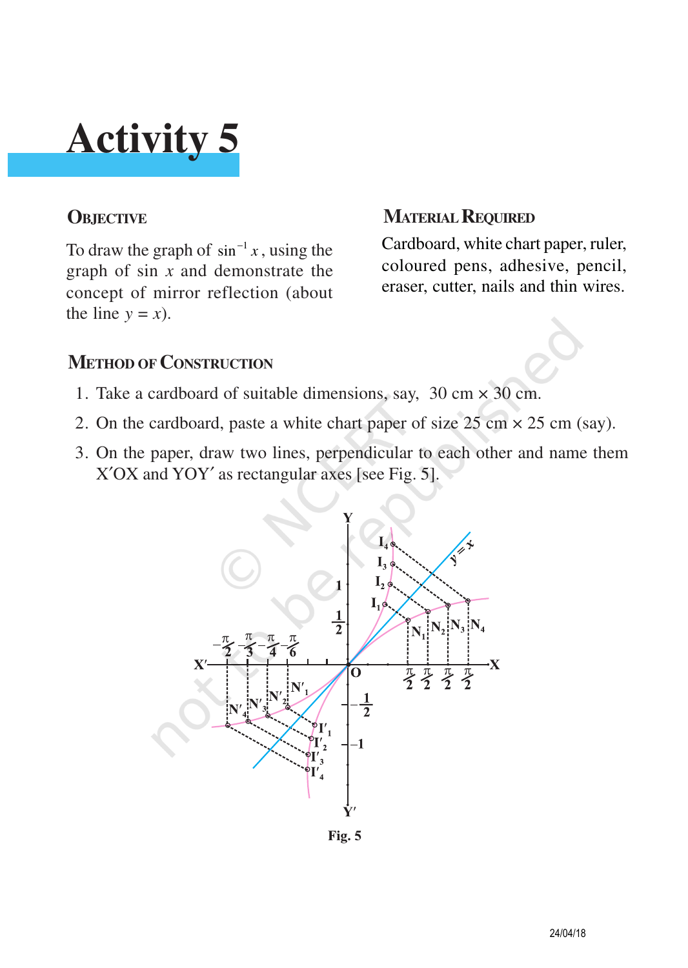To draw the graph of  $\sin^{-1} x$ , using the graph of sin *x* and demonstrate the concept of mirror reflection (about the line  $y = x$ ).

### **OBJECTIVE MATERIAL REQUIRED**

Cardboard, white chart paper, ruler, coloured pens, adhesive, pencil, eraser, cutter, nails and thin wires.

#### **METHOD OF CONSTRUCTION**

- 1. Take a cardboard of suitable dimensions, say,  $30 \text{ cm} \times 30 \text{ cm}$ .
- 2. On the cardboard, paste a white chart paper of size  $25 \text{ cm} \times 25 \text{ cm}$  (say).
- 3. On the paper, draw two lines, perpendicular to each other and name them X′OX and YOY′ as rectangular axes [see Fig. 5].

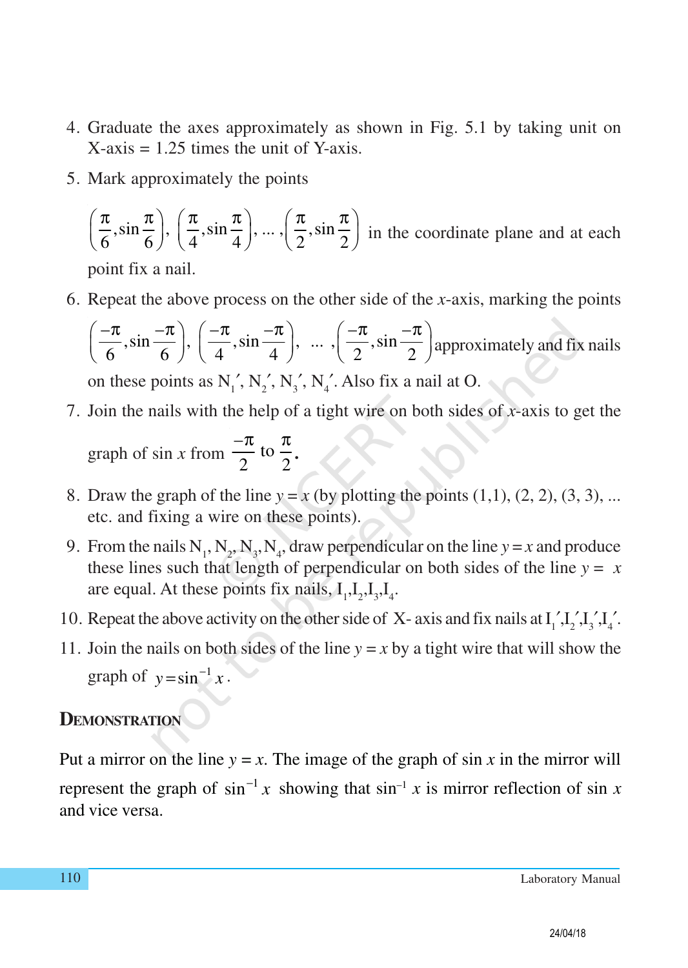- 4. Graduate the axes approximately as shown in Fig. 5.1 by taking unit on  $X$ -axis = 1.25 times the unit of Y-axis.
- 5. Mark approximately the points

$$
\left(\frac{\pi}{6}, \sin\frac{\pi}{6}\right), \left(\frac{\pi}{4}, \sin\frac{\pi}{4}\right), \dots, \left(\frac{\pi}{2}, \sin\frac{\pi}{2}\right)
$$
 in the coordinate plane and at each point fix a nail.

6. Repeat the above process on the other side of the *x*-axis, marking the points

 $\left(-\frac{\pi}{\epsilon}, \sin \frac{-\pi}{\epsilon}\right), \left(-\frac{\pi}{\epsilon}, \sin \frac{-\pi}{\epsilon}\right), \ldots, \left(-\frac{\pi}{\epsilon}, \sin \frac{-\pi}{\epsilon}\right)$  $\left(\frac{-\pi}{6}, \sin \frac{-\pi}{6}\right), \left(\frac{-\pi}{4}, \sin \frac{-\pi}{4}\right), \dots, \left(\frac{-\pi}{2}, \sin \frac{-\pi}{2}\right)$  approximately and fix nails on these points as  $N'_1$ ,  $N'_2$ ,  $N'_3$ ,  $N'_4$ . Also fix a nail at O.

- 7. Join the nails with the help of a tight wire on both sides of *x*-axis to get the graph of sin *x* from  $\frac{-\pi}{2}$  to 2 2  $\pi$   $\pi$ **.**
- 8. Draw the graph of the line  $y = x$  (by plotting the points  $(1,1)$ ,  $(2, 2)$ ,  $(3, 3)$ , ... etc. and fixing a wire on these points).
- 9. From the nails  $N_1$ ,  $N_2$ ,  $N_3$ ,  $N_4$ , draw perpendicular on the line  $y = x$  and produce these lines such that length of perpendicular on both sides of the line  $y = x$ are equal. At these points fix nails,  $I_1, I_2, I_3, I_4$ .
- 10. Repeat the above activity on the other side of X- axis and fix nails at  $I_1, I_2, I_3, I_4$ .
- 11. Join the nails on both sides of the line  $y = x$  by a tight wire that will show the graph of  $y = \sin^{-1} x$ .

#### **DEMONSTRATION**

Put a mirror on the line  $y = x$ . The image of the graph of sin x in the mirror will represent the graph of  $\sin^{-1} x$  showing that  $\sin^{-1} x$  is mirror reflection of  $\sin x$ and vice versa.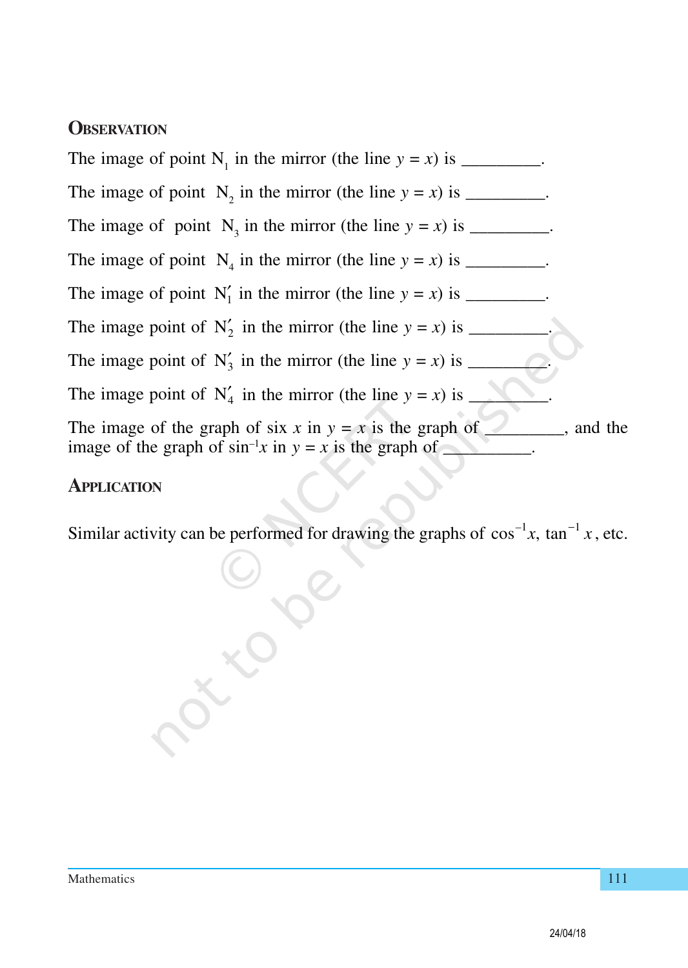#### **OBSERVATION**

The image of point  $N_1$  in the mirror (the line  $y = x$ ) is \_\_\_\_\_\_\_\_. The image of point  $N_2$  in the mirror (the line  $y = x$ ) is \_\_\_\_\_\_\_\_. The image of point  $N_3$  in the mirror (the line  $y = x$ ) is \_\_\_\_\_\_\_\_. The image of point  $N_4$  in the mirror (the line  $y = x$ ) is \_\_\_\_\_\_\_\_. The image of point  $N'_1$  in the mirror (the line  $y = x$ ) is \_\_\_\_\_\_\_\_. The image point of  $N'_2$  in the mirror (the line  $y = x$ ) is \_\_\_\_\_\_\_\_. The image point of N<sup>3</sup> ′ in the mirror (the line *y* = *x*) is \_\_\_\_\_\_\_\_\_. The image point of  $N'_4$  in the mirror (the line  $y = x$ ) is \_\_\_\_\_\_\_\_. The image of the graph of six *x* in  $y = x$  is the graph of \_\_\_\_\_\_, and the image of the graph of  $\sin^{-1}x$  in  $y = x$  is the graph of  $\Box$ 

#### **APPLICATION**

Similar activity can be performed for drawing the graphs of  $\cos^{-1} x$ ,  $\tan^{-1} x$ , etc.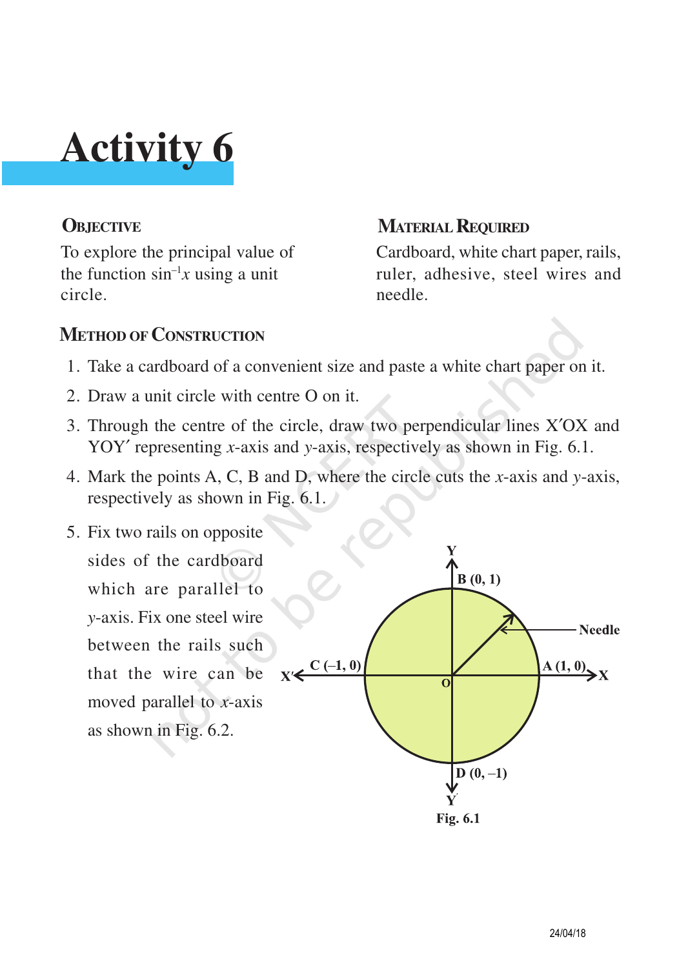To explore the principal value of the function  $\sin^{-1}x$  using a unit circle.

#### **OBJECTIVE MATERIAL REQUIRED**

Cardboard, white chart paper, rails, ruler, adhesive, steel wires and needle.

#### **METHOD OF CONSTRUCTION**

- 1. Take a cardboard of a convenient size and paste a white chart paper on it.
- 2. Draw a unit circle with centre O on it.
- 3. Through the centre of the circle, draw two perpendicular lines X′OX and YOY′ representing *x*-axis and *y*-axis, respectively as shown in Fig. 6.1.
- 4. Mark the points A, C, B and D, where the circle cuts the *x*-axis and *y*-axis, respectively as shown in Fig. 6.1.

5. Fix two rails on opposite sides of the cardboard which are parallel to *y*-axis. Fix one steel wire between the rails such that the wire can be moved parallel to *x*-axis as shown in Fig. 6.2.

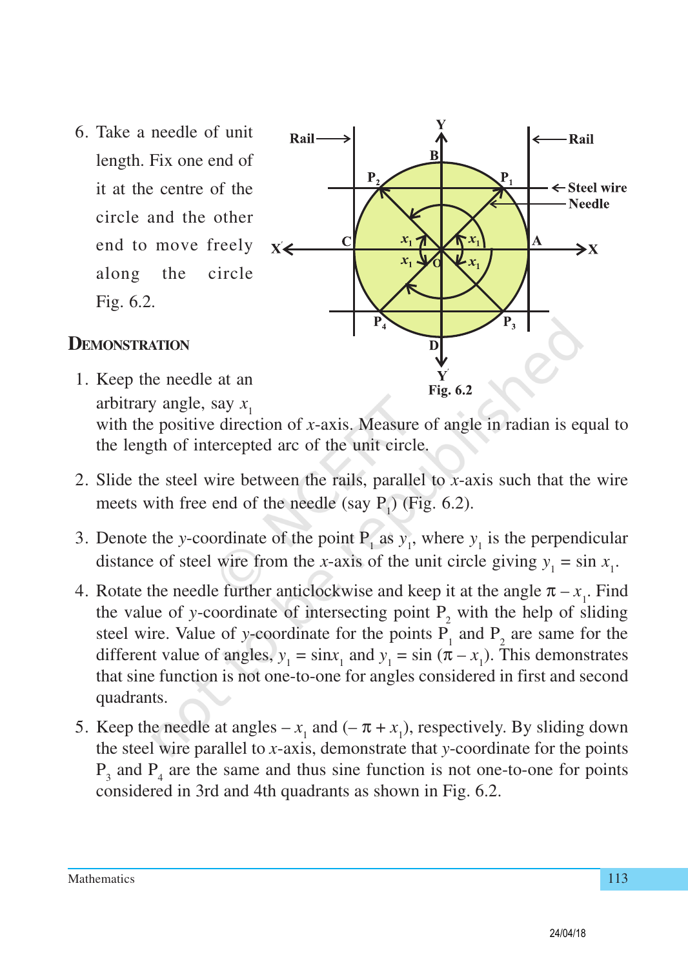6. Take a needle of unit length. Fix one end of it at the centre of the circle and the other end to move freely along the circle Fig. 6.2.



#### **DEMONSTRATION**

- 1. Keep the needle at an Fig. 6.2 arbitrary angle, say *x* 1 with the positive direction of *x*-axis. Measure of angle in radian is equal to the length of intercepted arc of the unit circle.
- 2. Slide the steel wire between the rails, parallel to *x*-axis such that the wire meets with free end of the needle (say  $P_1$ ) (Fig. 6.2).
- 3. Denote the *y*-coordinate of the point  $P_1$  as  $y_1$ , where  $y_1$  is the perpendicular distance of steel wire from the *x*-axis of the unit circle giving  $y_1 = \sin x_1$ .
- 4. Rotate the needle further anticlockwise and keep it at the angle  $\pi x_1$ . Find the value of *y*-coordinate of intersecting point  $P_2$  with the help of sliding steel wire. Value of *y*-coordinate for the points  $P_1$  and  $P_2$  are same for the different value of angles,  $y_1 = \sin x_1$  and  $y_1 = \sin (\pi - x_1)$ . This demonstrates that sine function is not one-to-one for angles considered in first and second quadrants.
- 5. Keep the needle at angles  $-x_1$  and  $(-\pi + x_1)$ , respectively. By sliding down the steel wire parallel to *x*-axis, demonstrate that *y*-coordinate for the points  $P_3$  and  $P_4$  are the same and thus sine function is not one-to-one for points considered in 3rd and 4th quadrants as shown in Fig. 6.2.

Mathematics 113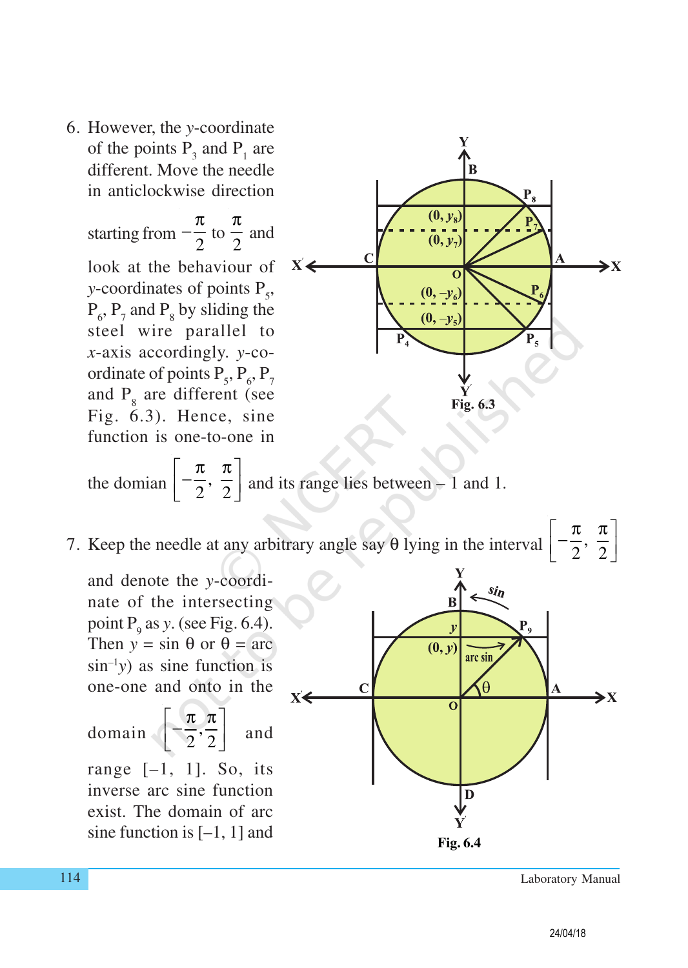6. However, the *y*-coordinate of the points  $P_3$  and  $P_1$  are different. Move the needle in anticlockwise direction

starting from 2  $-\frac{\pi}{2}$  to 2 π and look at the behaviour of *y*-coordinates of points P<sub>5</sub>,  $P_6$ ,  $P_7$  and  $P_8$  by sliding the steel wire parallel to *x*-axis accordingly. *y*-coordinate of points  $P_5$ ,  $P_6$ ,  $P_7$ and  $P_8$  are different (see Fig. 6.3). Hence, sine function is one-to-one in



the domain 
$$
\left[-\frac{\pi}{2}, \frac{\pi}{2}\right]
$$
 and its range lies between - 1 and 1.

7. Keep the needle at any arbitrary angle say  $\theta$  lying in the interval  $\left[-\frac{\pi}{2}, \frac{\pi}{2}\right]$  $\lceil \pi \ \pi \rceil$  $\left[-\frac{\pi}{2}, \frac{\pi}{2}\right]$ 

and denote the *y*-coordinate of the intersecting point  $P_9$  as *y*. (see Fig. 6.4). Then  $y = \sin \theta$  or  $\theta = \arctan \theta$  $\sin^{-1}y$ ) as sine function is one-one and onto in the

domain 
$$
\left[-\frac{\pi}{2}, \frac{\pi}{2}\right]
$$
 and  
range [-1, 1]. So, its  
inverse are sine function

inverse arc sine function exist. The domain of arc

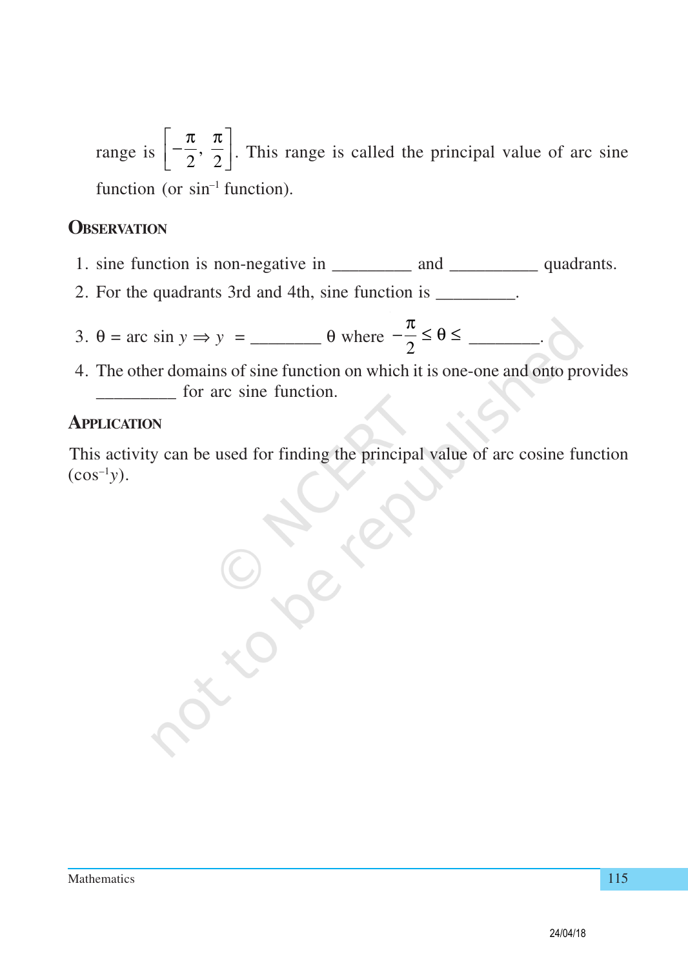range is  $\left[-\frac{\pi}{2}, \frac{\pi}{2}\right]$  $\lceil \pi \ \pi \rceil$  $\left[-\frac{\pi}{2}, \frac{\pi}{2}\right]$ . This range is called the principal value of arc sine function (or  $sin^{-1}$  function).

#### **OBSERVATION**

- 1. sine function is non-negative in \_\_\_\_\_\_\_\_\_\_\_ and \_\_\_\_\_\_\_\_\_\_\_ quadrants.
- 2. For the quadrants 3rd and 4th, sine function is \_\_\_\_\_\_\_\_\_.
- 3. <sup>θ</sup> = arc sin *<sup>y</sup>* <sup>⇒</sup> *<sup>y</sup>* = \_\_\_\_\_\_\_\_ θ where <sup>2</sup> π − ≤ θ ≤ \_\_\_\_\_\_\_\_.
- 4. The other domains of sine function on which it is one-one and onto provides for arc sine function.

#### **APPLICATION**

This activity can be used for finding the principal value of arc cosine function  $(cos^{-1}y)$ .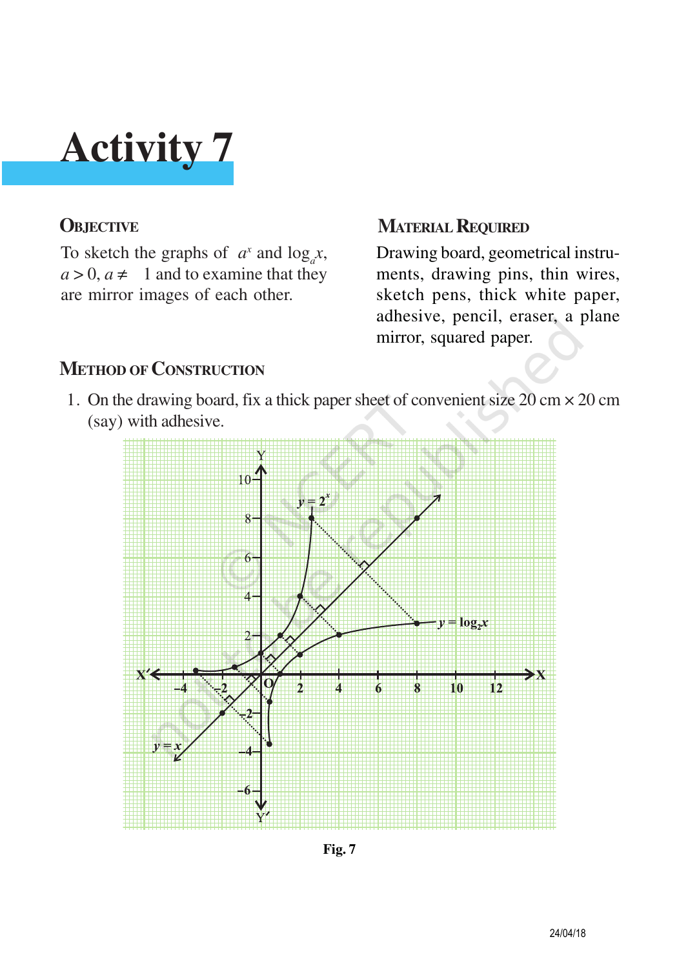To sketch the graphs of  $a^x$  and  $\log_a x$ ,  $a > 0$ ,  $a \neq 1$  and to examine that they are mirror images of each other.

#### **OBJECTIVE MATERIAL REQUIRED**

Drawing board, geometrical instruments, drawing pins, thin wires, sketch pens, thick white paper, adhesive, pencil, eraser, a plane mirror, squared paper.

### **METHOD OF CONSTRUCTION**

1. On the drawing board, fix a thick paper sheet of convenient size 20 cm × 20 cm (say) with adhesive.



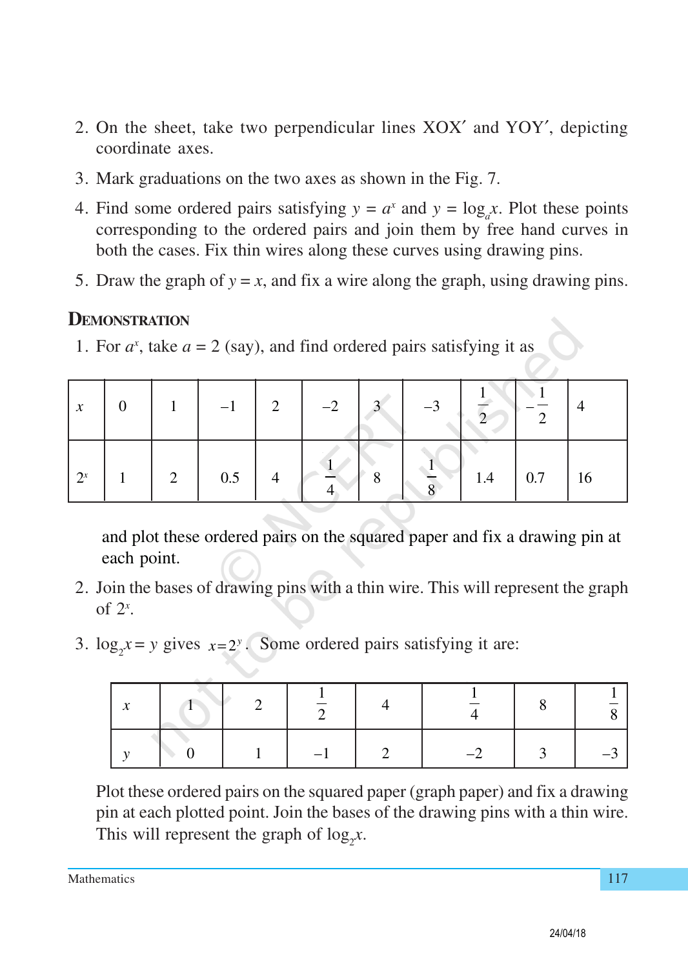- 2. On the sheet, take two perpendicular lines XOX′ and YOY′, depicting coordinate axes.
- 3. Mark graduations on the two axes as shown in the Fig. 7.
- 4. Find some ordered pairs satisfying  $y = a^x$  and  $y = \log_a x$ . Plot these points corresponding to the ordered pairs and join them by free hand curves in both the cases. Fix thin wires along these curves using drawing pins.
- 5. Draw the graph of  $y = x$ , and fix a wire along the graph, using drawing pins.

#### **DEMONSTRATION**

1. For  $a^x$ , take  $a = 2$  (say), and find ordered pairs satisfying it as

| $\boldsymbol{\chi}$ | $\theta$ |               |     | $\Omega$ | $-2$ | $\Omega$ | $-3$     |     |     |    |
|---------------------|----------|---------------|-----|----------|------|----------|----------|-----|-----|----|
| $2^x$               |          | $\mathcal{L}$ | 0.5 |          |      |          | $\Omega$ | 1.4 | 0.7 | 16 |

and plot these ordered pairs on the squared paper and fix a drawing pin at each point.

- 2. Join the bases of drawing pins with a thin wire. This will represent the graph of 2*<sup>x</sup>* .
- 3.  $\log_2 x = y$  gives  $x = 2^y$ . Some ordered pairs satisfying it are:

| $\sim$ |  |  |   |  |
|--------|--|--|---|--|
|        |  |  | ≺ |  |

Plot these ordered pairs on the squared paper (graph paper) and fix a drawing pin at each plotted point. Join the bases of the drawing pins with a thin wire. This will represent the graph of  $log_2 x$ .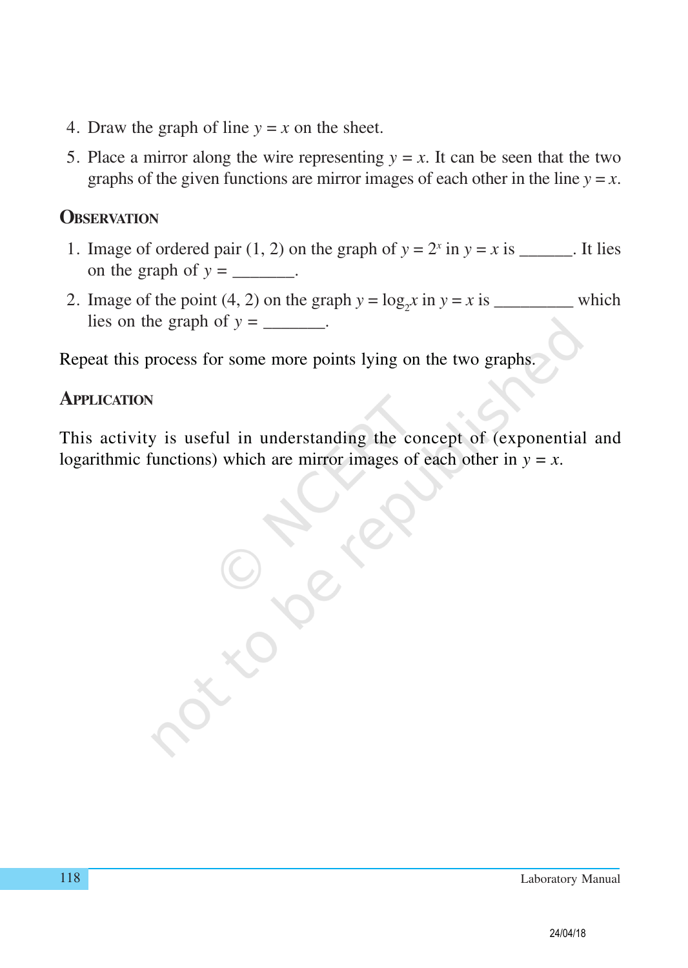- 4. Draw the graph of line  $y = x$  on the sheet.
- 5. Place a mirror along the wire representing  $y = x$ . It can be seen that the two graphs of the given functions are mirror images of each other in the line  $y = x$ .

#### **OBSERVATION**

- 1. Image of ordered pair (1, 2) on the graph of  $y = 2^x$  in  $y = x$  is \_\_\_\_\_\_. It lies on the graph of  $y =$  \_\_\_\_\_\_\_.
- 2. Image of the point (4, 2) on the graph  $y = log_2 x$  in  $y = x$  is \_\_\_\_\_\_\_\_\_\_\_\_\_ which lies on the graph of  $y =$  \_\_\_\_\_\_\_.

Repeat this process for some more points lying on the two graphs.

#### **APPLICATION**

This activity is useful in understanding the concept of (exponential and logarithmic functions) which are mirror images of each other in  $y = x$ .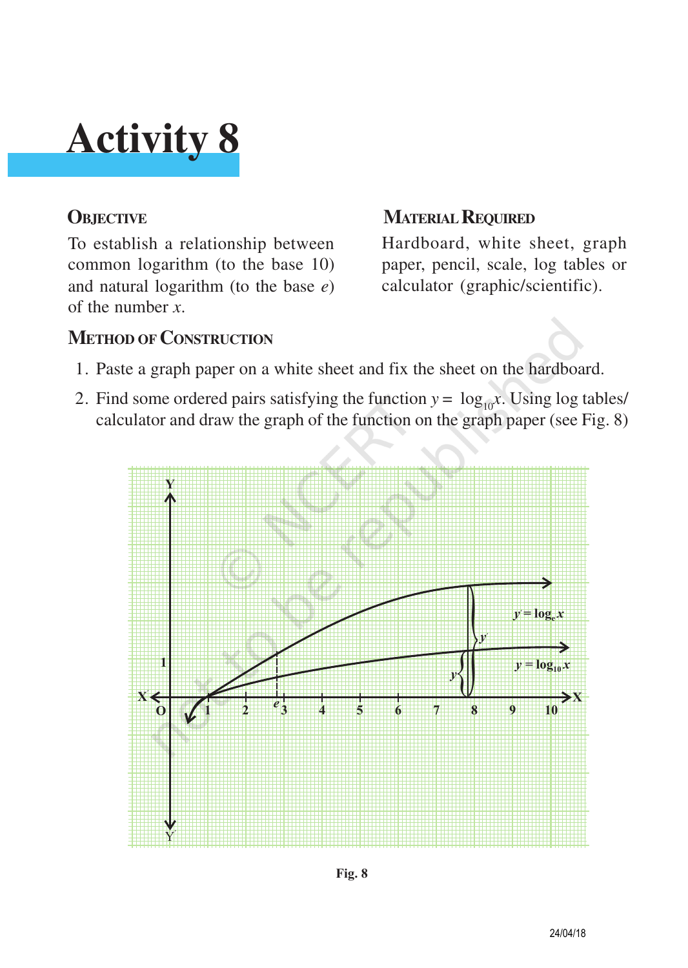To establish a relationship between common logarithm (to the base 10) and natural logarithm (to the base *e*) of the number *x*.

### **OBJECTIVE MATERIAL REQUIRED**

Hardboard, white sheet, graph paper, pencil, scale, log tables or calculator (graphic/scientific).

### **METHOD OF CONSTRUCTION**

- 1. Paste a graph paper on a white sheet and fix the sheet on the hardboard.
- 2. Find some ordered pairs satisfying the function  $y = log_{10}x$ . Using log tables/ calculator and draw the graph of the function on the graph paper (see Fig. 8)

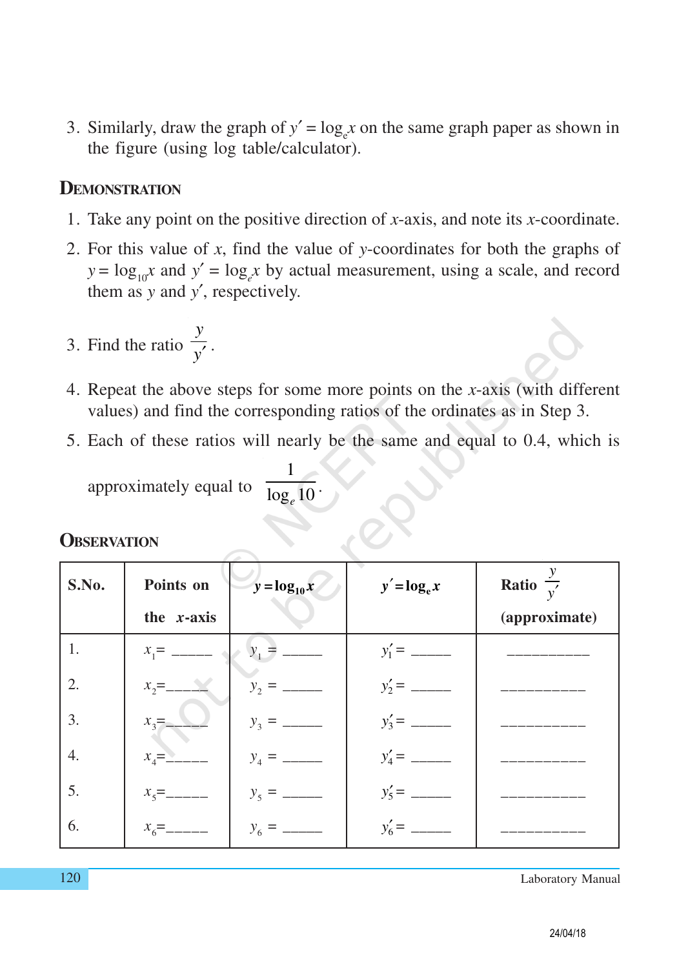3. Similarly, draw the graph of  $y' = \log_e x$  on the same graph paper as shown in the figure (using log table/calculator).

#### **DEMONSTRATION**

- 1. Take any point on the positive direction of *x*-axis, and note its *x*-coordinate.
- 2. For this value of *x*, find the value of *y*-coordinates for both the graphs of  $y = log_{10}x$  and  $y' = log_e x$  by actual measurement, using a scale, and record them as *y* and *y*′, respectively.
- 3. Find the ratio *y y*′ .
- 4. Repeat the above steps for some more points on the *x*-axis (with different values) and find the corresponding ratios of the ordinates as in Step 3.
- 5. Each of these ratios will nearly be the same and equal to 0.4, which is

approximately equal to 1  $\overline{\log_e 10}$   $\cdot$ 

| S.No. | Points on       | $y = log_{10} x$ | $y' = \log_e x$ | Ratio $\frac{y}{y'}$ |
|-------|-----------------|------------------|-----------------|----------------------|
|       | the $x$ -axis   |                  |                 | (approximate)        |
| 1.    | $x_1$ = _____   |                  |                 |                      |
| 2.    |                 |                  |                 |                      |
| 3.    | $x_3 =$         |                  |                 |                      |
| 4.    | $x_4 =$         |                  |                 |                      |
| 5.    | $x_{5}$ =_____  |                  |                 |                      |
| 6.    | $x_{6} =$ _____ |                  |                 |                      |

#### **OBSERVATION**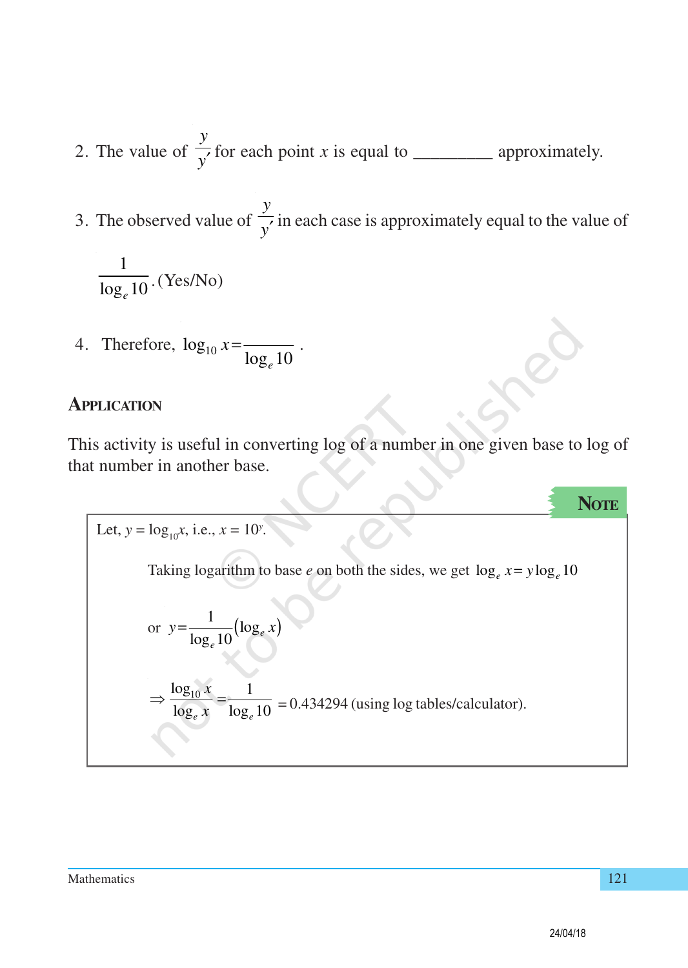- 2. The value of *y*  $\frac{y}{y'}$  for each point *x* is equal to \_\_\_\_\_\_\_\_\_\_\_\_\_ approximately.
- 3. The observed value of *y*  $\frac{y}{y'}$  in each case is approximately equal to the value of

$$
\frac{1}{\log_e 10} \cdot (\text{Yes/No})
$$

4. Therefore,  $log_{10}$  $\log_e 10$  $x = \frac{1}{1}$ .

#### **APPLICATION**

This activity is useful in converting log of a number in one given base to log of that number in another base.

Let, 
$$
y = log_{10}x
$$
, i.e.,  $x = 10^y$ .  
\nTaking logarithm to base *e* on both the sides, we get  $log_e x = y log_e 10$   
\nor  $y = \frac{1}{log_e 10} (log_e x)$   
\n
$$
\Rightarrow \frac{log_{10} x}{log_e x} = \frac{1}{log_e 10} = 0.434294
$$
 (using log tables/calculator).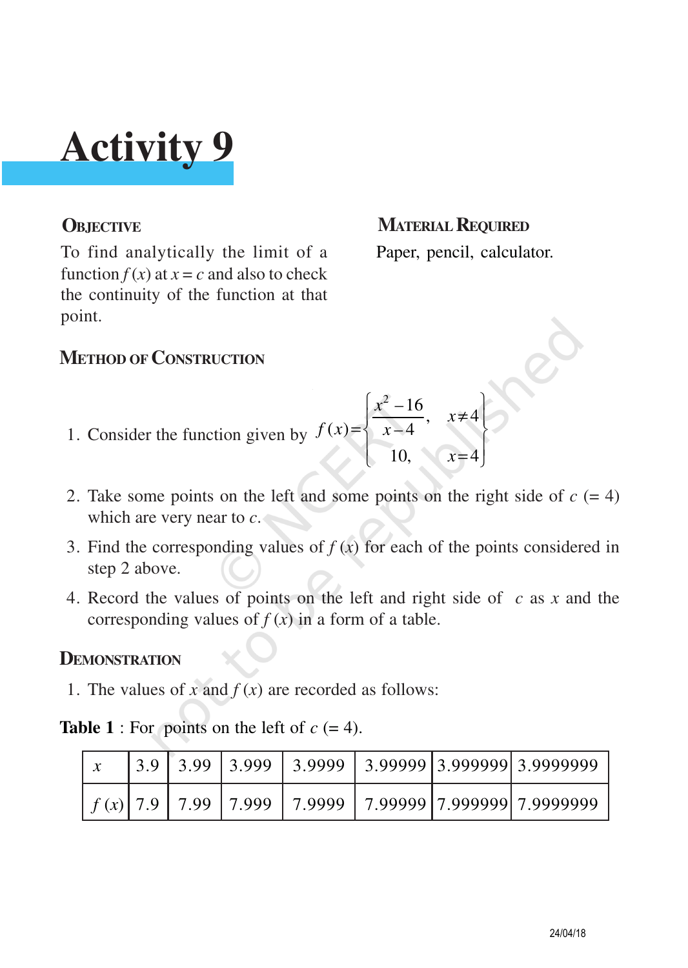To find analytically the limit of a function  $f(x)$  at  $x = c$  and also to check the continuity of the function at that point.

### **OBJECTIVE MATERIAL REQUIRED** Paper, pencil, calculator.

#### **METHOD OF CONSTRUCTION**

- 1. Consider the function given by  $\frac{x^2-16}{1}$ ,  $x\neq 4$  $(x)=\begin{cases} x-4 \end{cases}$ 10,  $x=4$  $\frac{x^2-16}{1}, x$  $f(x)=\begin{cases} x \end{cases}$ *x*  $\left[x^2-16\right]$  $\left|\frac{x-10}{1}, x\neq 4\right|$  $=\{x-4, \dots, x-4\}$  $\begin{bmatrix} 10, & x=4 \end{bmatrix}$
- 2. Take some points on the left and some points on the right side of  $c = 4$ ) which are very near to *c*.
- 3. Find the corresponding values of  $f(x)$  for each of the points considered in step 2 above.
- 4. Record the values of points on the left and right side of *c* as *x* and the corresponding values of  $f(x)$  in a form of a table.

#### **DEMONSTRATION**

1. The values of *x* and  $f(x)$  are recorded as follows:

#### **Table 1** : For points on the left of  $c = 4$ .

|  |  |  | $3.9$   3.99   3.999   3.9999   3.99999   3.999999   3.9999999        |
|--|--|--|-----------------------------------------------------------------------|
|  |  |  | $f(x)$   7.9   7.99   7.999   7.9999   7.99999   7.999999   7.9999999 |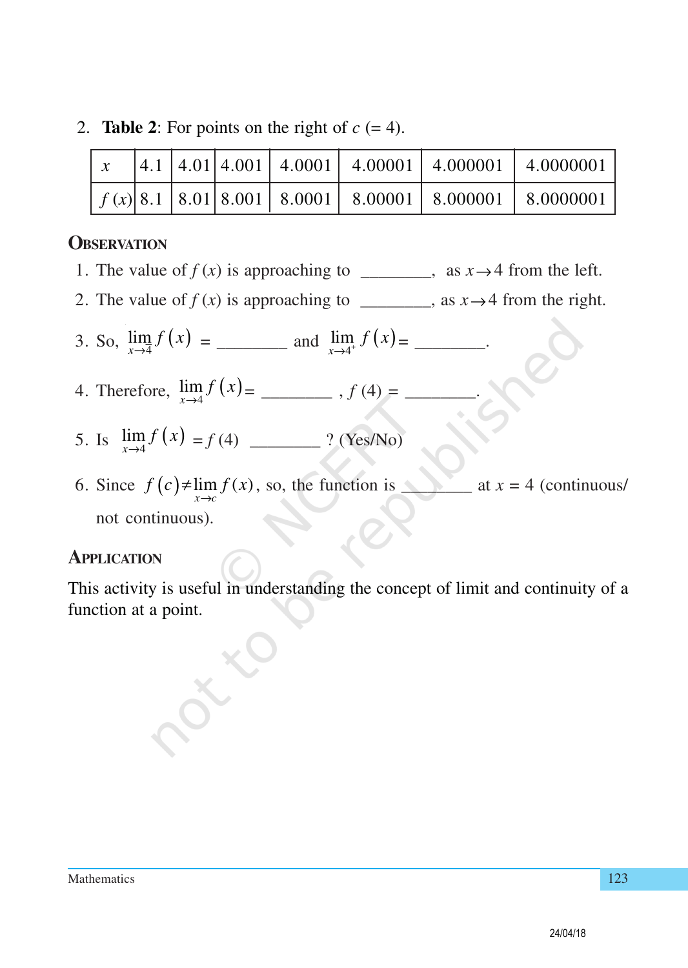2. **Table 2**: For points on the right of  $c = 4$ .

| $\mathbf{x}$ |  |  |  | $\vert 4.1 \vert 4.01 \vert 4.001 \vert 4.0001 \vert 4.00001 \vert 4.000001 \vert 4.0000001$                        |
|--------------|--|--|--|---------------------------------------------------------------------------------------------------------------------|
|              |  |  |  | $\left  f(x) \right  8.1 \left  8.01 \right  8.001 \left  8.0001 \right  8.00001 \left  8.000001 \right  8.0000001$ |

#### **OBSERVATION**

- 1. The value of  $f(x)$  is approaching to \_\_\_\_\_\_, as  $x \rightarrow 4$  from the left.
- 2. The value of  $f(x)$  is approaching to \_\_\_\_\_\_, as  $x \rightarrow 4$  from the right.
- 3. So, ( ) 4 lim *x f x* → = \_\_\_\_\_\_\_\_ and ( ) 4 lim *x f x* <sup>→</sup> <sup>+</sup> = \_\_\_\_\_\_\_\_.
- 4. Therefore,  $\lim_{x \to 4} f(x) =$  \_\_\_\_\_\_\_\_\_,  $f(4) =$  \_\_\_\_\_\_\_.
- 5. Is ( ) 4 lim *x f x* → = *f* (4) \_\_\_\_\_\_\_\_ ? (Yes/No)
- 6. Since  $f(c) \neq \lim_{x \to c} f(x)$ , so, the function is \_\_\_\_\_\_\_\_\_ at  $x = 4$  (continuous/ not continuous).

#### **APPLICATION**

This activity is useful in understanding the concept of limit and continuity of a function at a point.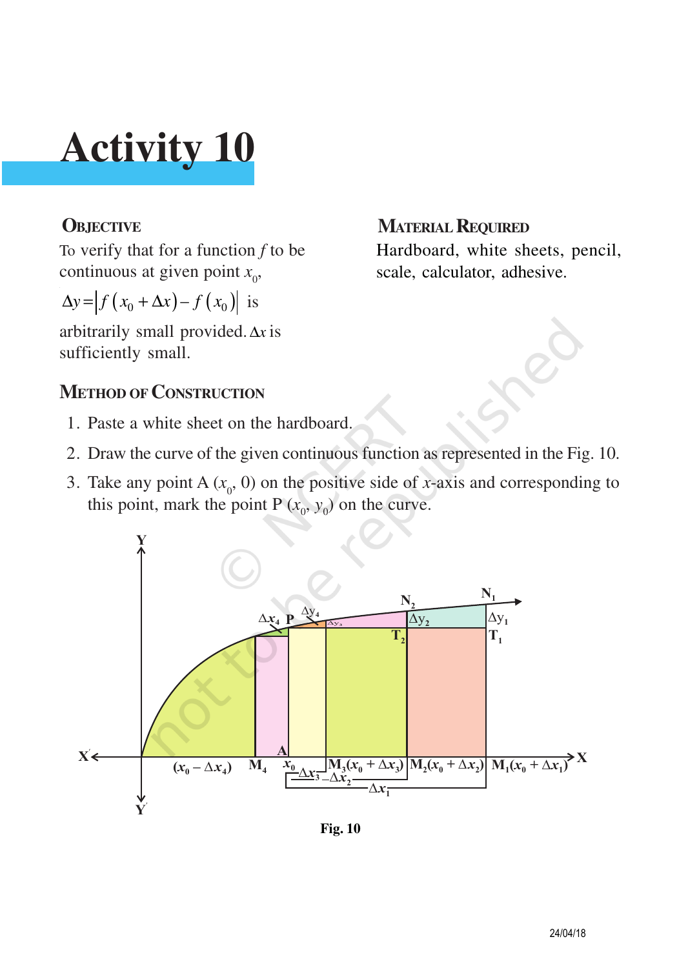To verify that for a function *f* to be continuous at given point  $x_0$ ,

$$
\Delta y = \left| f\left(x_0 + \Delta x\right) - f\left(x_0\right) \right| \text{ is}
$$

arbitrarily small provided.∆*x* is sufficiently small.

### **METHOD OF CONSTRUCTION**

- 1. Paste a white sheet on the hardboard.
- 2. Draw the curve of the given continuous function as represented in the Fig. 10.
- 3. Take any point A  $(x_0, 0)$  on the positive side of *x*-axis and corresponding to this point, mark the point P  $(x_0, y_0)$  on the curve.



**Fig. 10**

### **OBJECTIVE MATERIAL REQUIRED**

Hardboard, white sheets, pencil, scale, calculator, adhesive.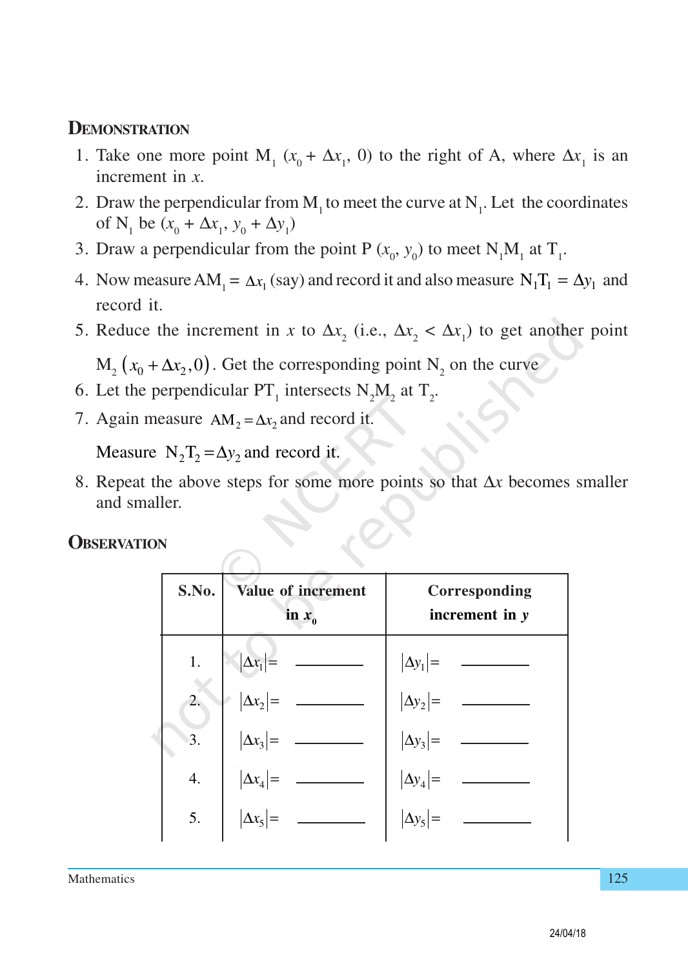#### **DEMONSTRATION**

- 1. Take one more point  $M_1$  ( $x_0 + \Delta x_1$ , 0) to the right of A, where  $\Delta x_1$  is an increment in *x*.
- 2. Draw the perpendicular from  $M_1$  to meet the curve at  $N_1$ . Let the coordinates of N<sub>1</sub> be  $(x_0 + \Delta x_1, y_0 + \Delta y_1)$
- 3. Draw a perpendicular from the point P  $(x_0, y_0)$  to meet N<sub>1</sub>M<sub>1</sub> at T<sub>1</sub>.
- 4. Now measure  $AM_1 = \Delta x_1$  (say) and record it and also measure  $N_1T_1 = \Delta y_1$  and record it.
- 5. Reduce the increment in *x* to  $\Delta x_2$  (i.e.,  $\Delta x_2 < \Delta x_1$ ) to get another point

 $M_2(x_0 + \Delta x_2, 0)$ . Get the corresponding point  $N_2$  on the curve

- 6. Let the perpendicular  $PT_1$  intersects  $N_2M_2$  at  $T_2$ .
- 7. Again measure  $AM_2 = \Delta x_2$  and record it.

Measure  $N_2$  T<sub>2</sub> =  $\Delta y_2$  and record it.

8. Repeat the above steps for some more points so that ∆*x* becomes smaller and smaller.

**OBSERVATION**

| S.No.            | Value of increment<br>in $x_0$       | Corresponding<br>increment in $y$    |
|------------------|--------------------------------------|--------------------------------------|
| 1.               |                                      |                                      |
| $\overline{2}$ . | $ \Delta x_1 $ =<br>$ \Delta x_2 $ = | $ \Delta y_1 $ =<br>$ \Delta y_2 $ = |
| 3.               | $\left \Delta x_3\right  =$          | $ \Delta y_3 $ =<br>$ \Delta y_4 $ = |
| 4.               | $\left \Delta x_4\right {=}$         |                                      |
| 5.               | $\Delta x_5$                         | $ \Delta y_5 $ =                     |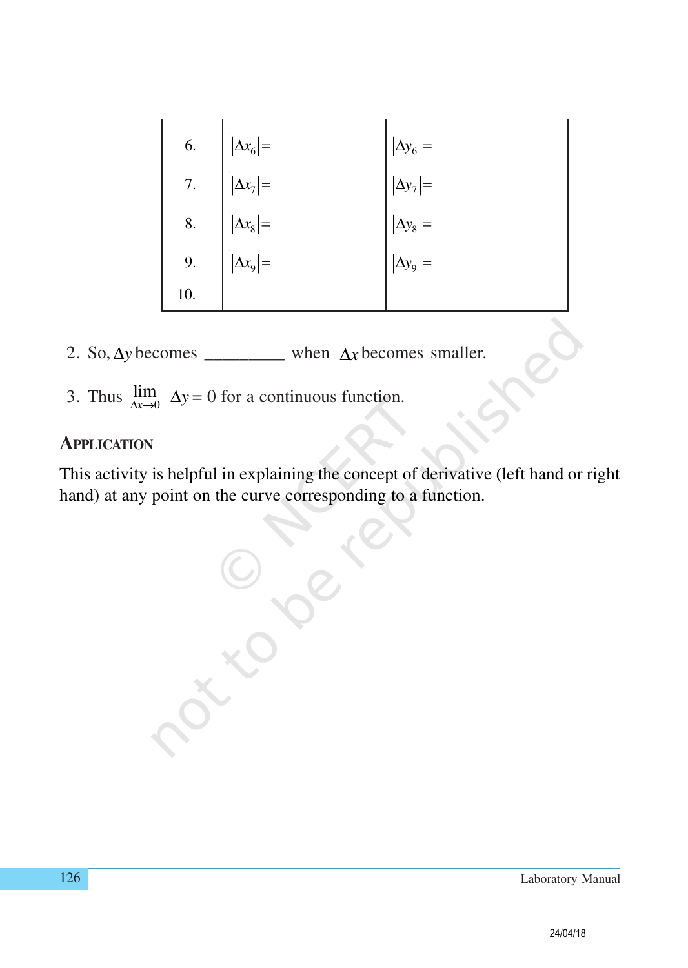| 6. | 6.<br>7. $ \Delta x_6 $ =<br>7. $ \Delta x_7 $ =<br>8. $ \Delta x_8 $ =<br>9. $ \Delta x_9 $ =<br>10. | $ \Delta y_6 $ = |
|----|-------------------------------------------------------------------------------------------------------|------------------|
|    |                                                                                                       |                  |
|    |                                                                                                       | $ \Delta y_8 $ = |
|    |                                                                                                       | $ \Delta y_9  =$ |
|    |                                                                                                       |                  |

- 2. So,  $\Delta y$  becomes \_\_\_\_\_\_\_\_\_\_ when  $\Delta x$  becomes smaller.
- 3. Thus  $\lim_{\Delta x \to 0} \Delta y = 0$  for a continuous function.

#### **APPLICATION**

This activity is helpful in explaining the concept of derivative (left hand or right hand) at any point on the curve corresponding to a function.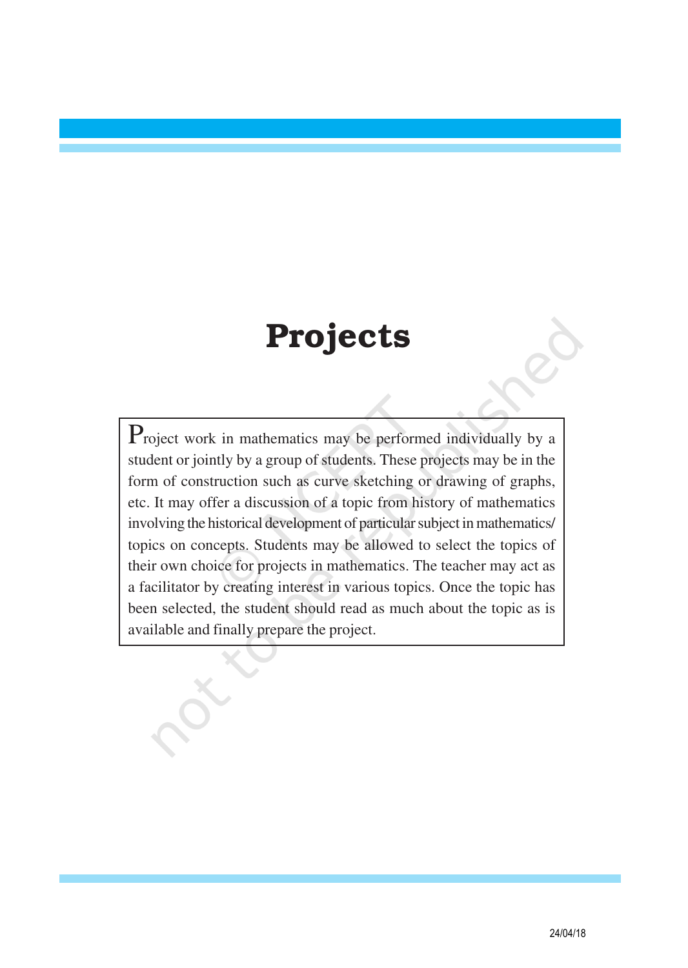### Projects

Project work in mathematics may be performed individually by a student or jointly by a group of students. These projects may be in the form of construction such as curve sketching or drawing of graphs, etc. It may offer a discussion of a topic from history of mathematics involving the historical development of particular subject in mathematics/ topics on concepts. Students may be allowed to select the topics of their own choice for projects in mathematics. The teacher may act as a facilitator by creating interest in various topics. Once the topic has been selected, the student should read as much about the topic as is available and finally prepare the project.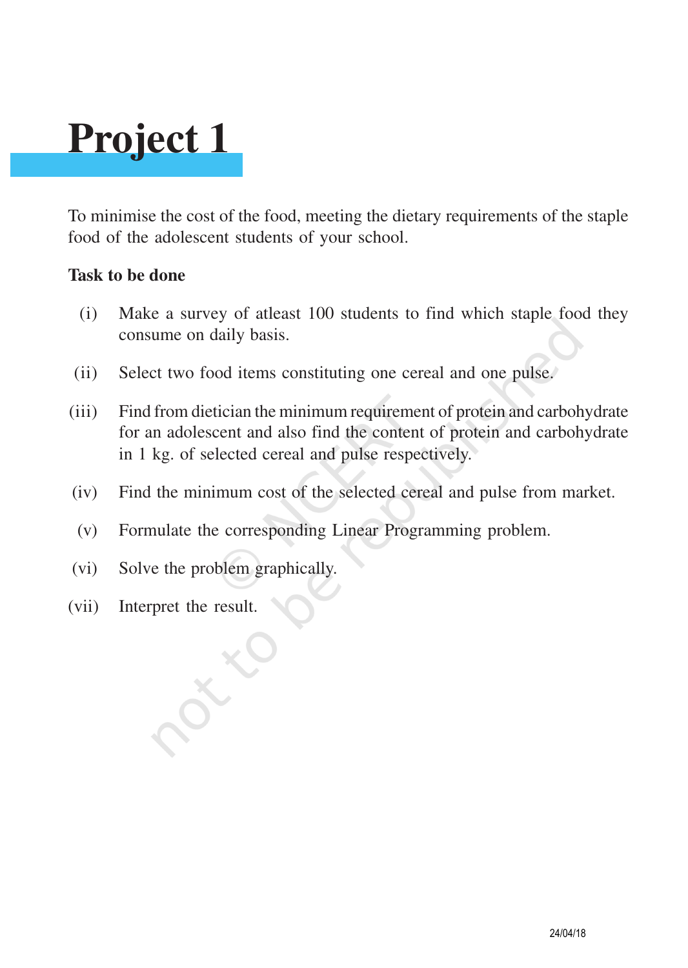## **Project 1**

To minimise the cost of the food, meeting the dietary requirements of the staple food of the adolescent students of your school.

#### **Task to be done**

- (i) Make a survey of atleast 100 students to find which staple food they consume on daily basis.
- (ii) Select two food items constituting one cereal and one pulse.
- (iii) Find from dietician the minimum requirement of protein and carbohydrate for an adolescent and also find the content of protein and carbohydrate in 1 kg. of selected cereal and pulse respectively.
- (iv) Find the minimum cost of the selected cereal and pulse from market.
- (v) Formulate the corresponding Linear Programming problem.
- (vi) Solve the problem graphically.
- (vii) Interpret the result.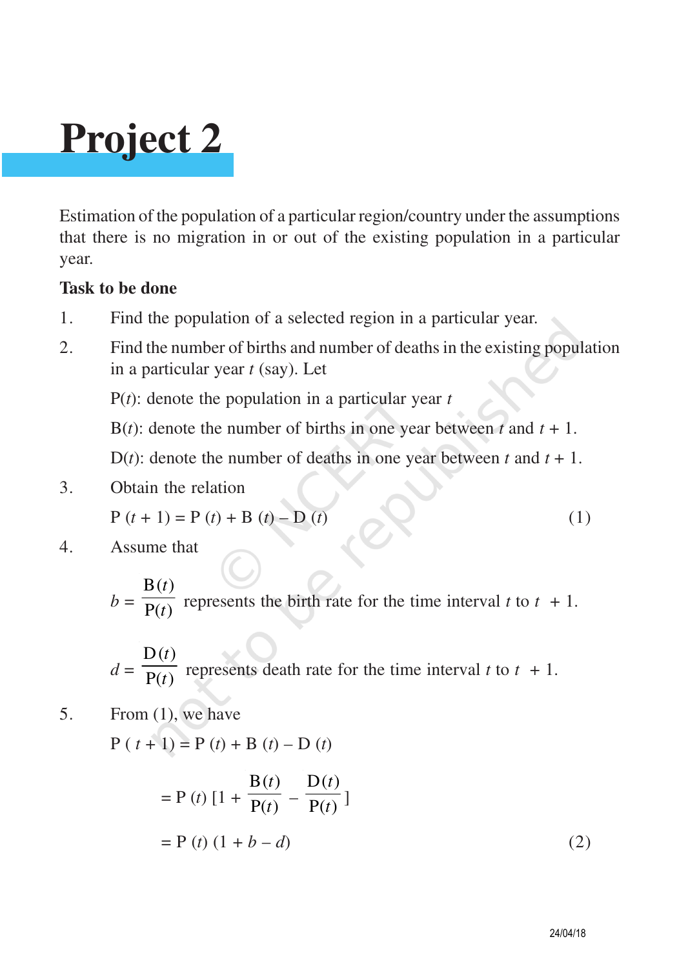# **Project 2**

Estimation of the population of a particular region/country under the assumptions that there is no migration in or out of the existing population in a particular year.

#### **Task to be done**

- 1. Find the population of a selected region in a particular year.
- 2. Find the number of births and number of deaths in the existing population in a particular year *t* (say). Let

P(*t*): denote the population in a particular year *t*

B(*t*): denote the number of births in one year between *t* and  $t + 1$ .

D(*t*): denote the number of deaths in one year between *t* and  $t + 1$ .

3. Obtain the relation

$$
P(t + 1) = P(t) + B(t) - D(t)
$$
 (1)

4. Assume that

$$
b = \frac{B(t)}{P(t)}
$$
 represents the birth rate for the time interval *t* to *t* + 1.

$$
d = \frac{D(t)}{P(t)}
$$
 represents death rate for the time interval *t* to *t* + 1.

$$
5. \qquad \text{From (1), we have}
$$

 $P(t + 1) = P(t) + B(t) - D(t)$ 

$$
= P(t) [1 + \frac{B(t)}{P(t)} - \frac{D(t)}{P(t)}]
$$
  
= P(t) (1 + b - d) (2)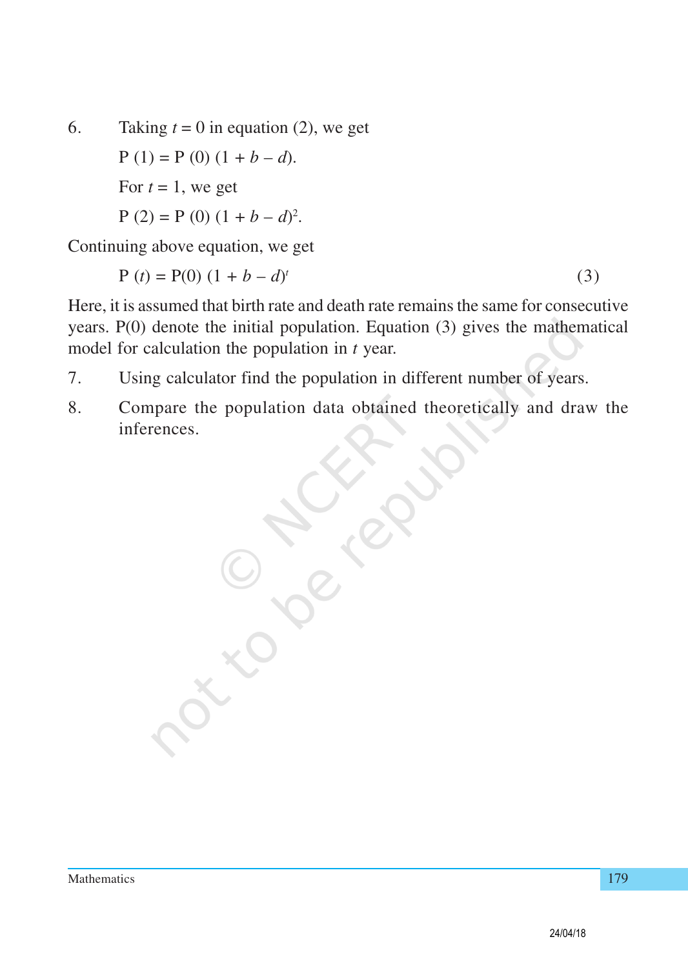6. Taking  $t = 0$  in equation (2), we get  $P(1) = P(0) (1 + b - d).$ For  $t = 1$ , we get  $P(2) = P(0) (1 + b - d)^2$ .

Continuing above equation, we get

 $P(t) = P(0) (1 + b - d)^t$ (3)

Here, it is assumed that birth rate and death rate remains the same for consecutive years. P(0) denote the initial population. Equation (3) gives the mathematical model for calculation the population in *t* year.

- 7. Using calculator find the population in different number of years.
- 8. Compare the population data obtained theoretically and draw the inferences.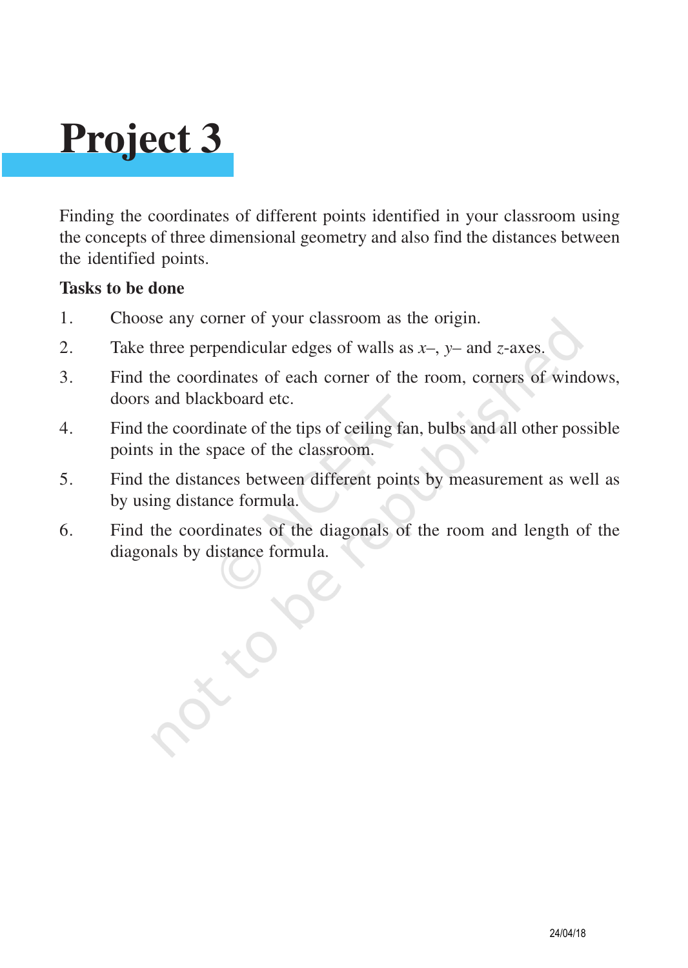## **Project 3**

Finding the coordinates of different points identified in your classroom using the concepts of three dimensional geometry and also find the distances between the identified points.

#### **Tasks to be done**

- 1. Choose any corner of your classroom as the origin.
- 2. Take three perpendicular edges of walls as *x–*, *y–* and *z*-axes.
- 3. Find the coordinates of each corner of the room, corners of windows, doors and blackboard etc.
- 4. Find the coordinate of the tips of ceiling fan, bulbs and all other possible points in the space of the classroom.
- 5. Find the distances between different points by measurement as well as by using distance formula.
- 6. Find the coordinates of the diagonals of the room and length of the diagonals by distance formula.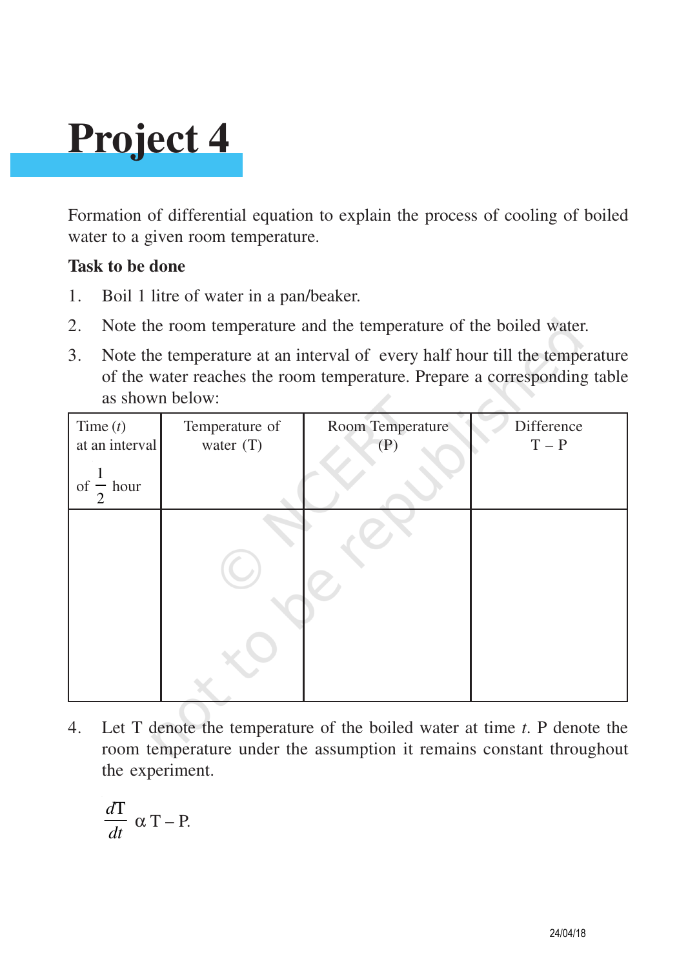# **Project 4**

Formation of differential equation to explain the process of cooling of boiled water to a given room temperature.

#### **Task to be done**

- 1. Boil 1 litre of water in a pan/beaker.
- 2. Note the room temperature and the temperature of the boiled water.
- 3. Note the temperature at an interval of every half hour till the temperature of the water reaches the room temperature. Prepare a corresponding table as shown below:

| Time $(t)$<br>at an interval<br>$of - hour$<br>2 | Temperature of<br>water $(T)$ | Room Temperature<br>(P) | Difference<br>$T - P$ |
|--------------------------------------------------|-------------------------------|-------------------------|-----------------------|
|                                                  |                               |                         |                       |

4. Let T denote the temperature of the boiled water at time *t*. P denote the room temperature under the assumption it remains constant throughout the experiment.

$$
\frac{dT}{dt} \propto T - P.
$$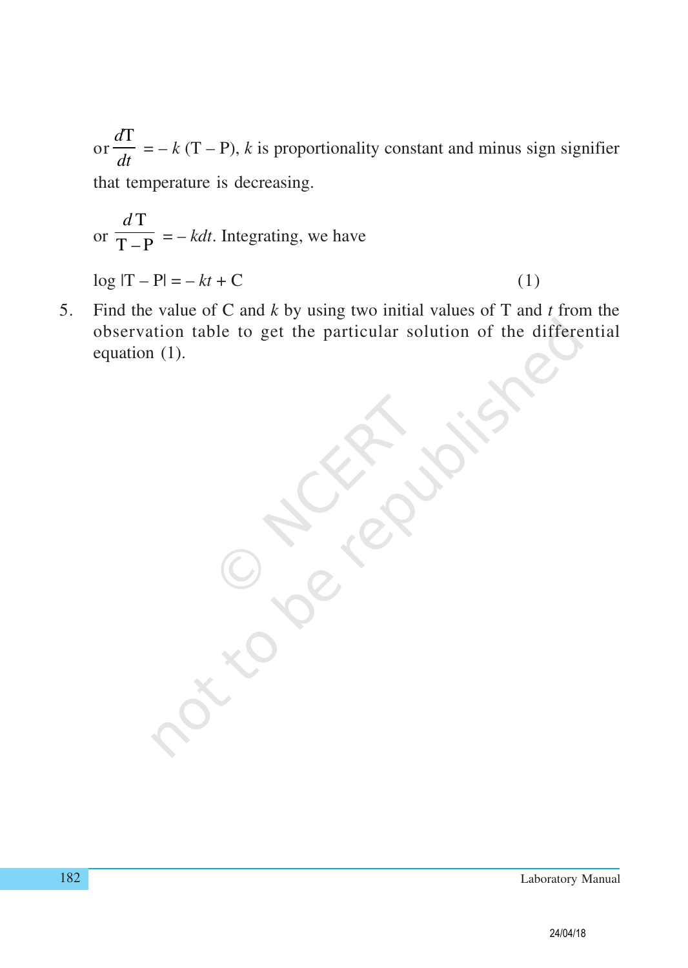or *d*T *dt*  $= -k(T - P)$ , *k* is proportionality constant and minus sign signifier that temperature is decreasing.

or 
$$
\frac{d\mathbf{T}}{\mathbf{T} - \mathbf{P}} = -kdt
$$
. Integrating, we have

 $\log |T - P| = -kt + C$  (1)

5. Find the value of C and *k* by using two initial values of T and *t* from the observation table to get the particular solution of the differential equation (1).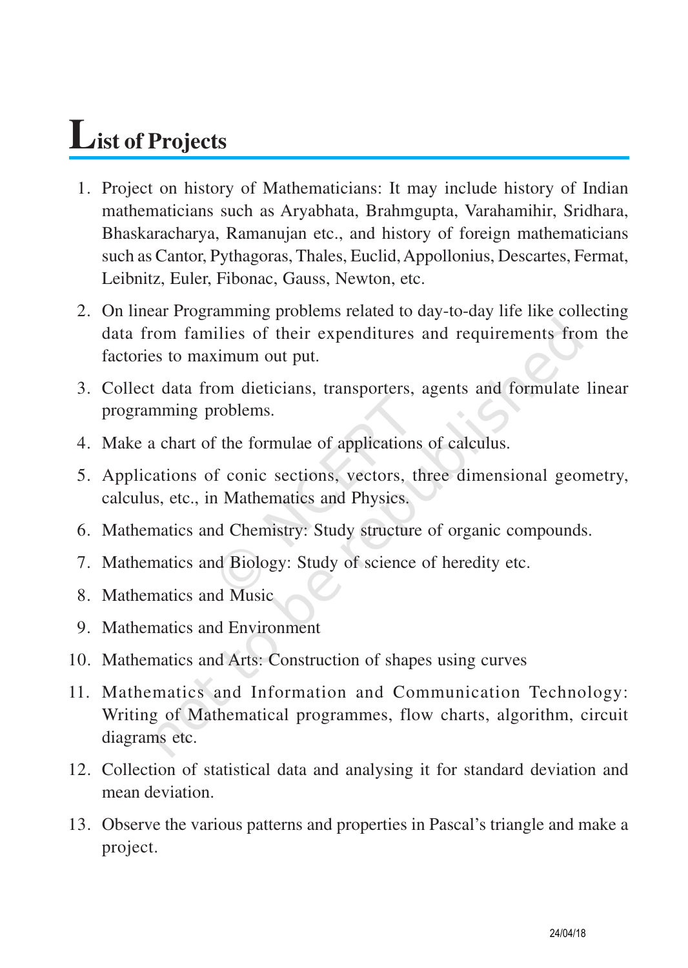### **List of Projects**

- 01. Project on history of Mathematicians: It may include history of Indian mathematicians such as Aryabhata, Brahmgupta, Varahamihir, Sridhara, Bhaskaracharya, Ramanujan etc., and history of foreign mathematicians such as Cantor, Pythagoras, Thales, Euclid, Appollonius, Descartes, Fermat, Leibnitz, Euler, Fibonac, Gauss, Newton, etc.
- 02. On linear Programming problems related to day-to-day life like collecting data from families of their expenditures and requirements from the factories to maximum out put.
- 03. Collect data from dieticians, transporters, agents and formulate linear programming problems.
- 04. Make a chart of the formulae of applications of calculus.
- 05. Applications of conic sections, vectors, three dimensional geometry, calculus, etc., in Mathematics and Physics.
- 06. Mathematics and Chemistry: Study structure of organic compounds.
- 07. Mathematics and Biology: Study of science of heredity etc.
- 08. Mathematics and Music
- 09. Mathematics and Environment
- 10. Mathematics and Arts: Construction of shapes using curves
- 11. Mathematics and Information and Communication Technology: Writing of Mathematical programmes, flow charts, algorithm, circuit diagrams etc.
- 12. Collection of statistical data and analysing it for standard deviation and mean deviation.
- 13. Observe the various patterns and properties in Pascal's triangle and make a project.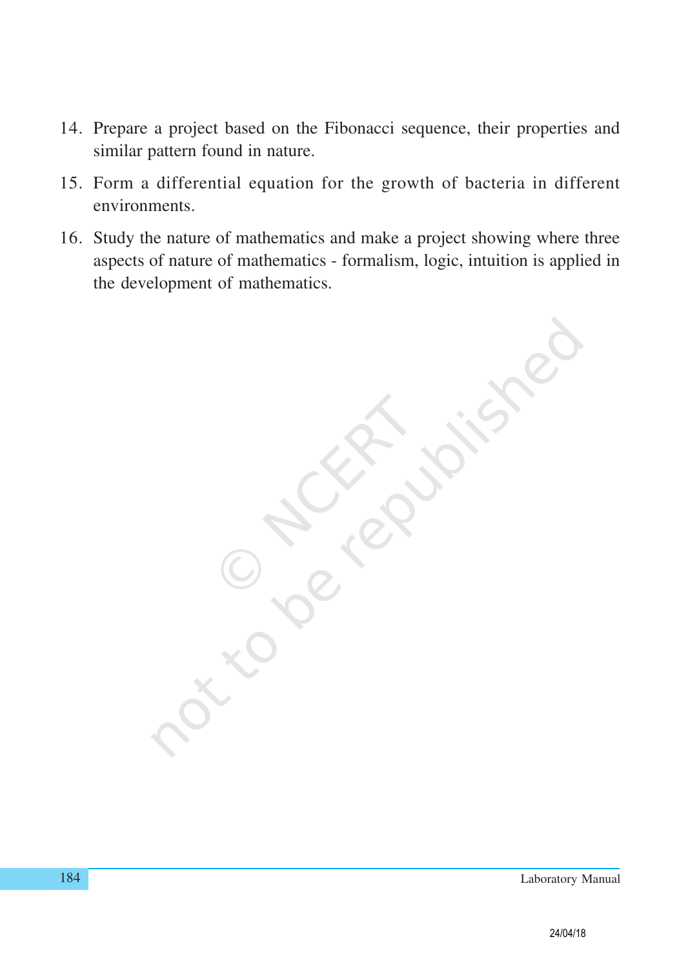- 14. Prepare a project based on the Fibonacci sequence, their properties and similar pattern found in nature.
- 15. Form a differential equation for the growth of bacteria in different environments.
- 16. Study the nature of mathematics and make a project showing where three aspects of nature of mathematics - formalism, logic, intuition is applied in the development of mathematics.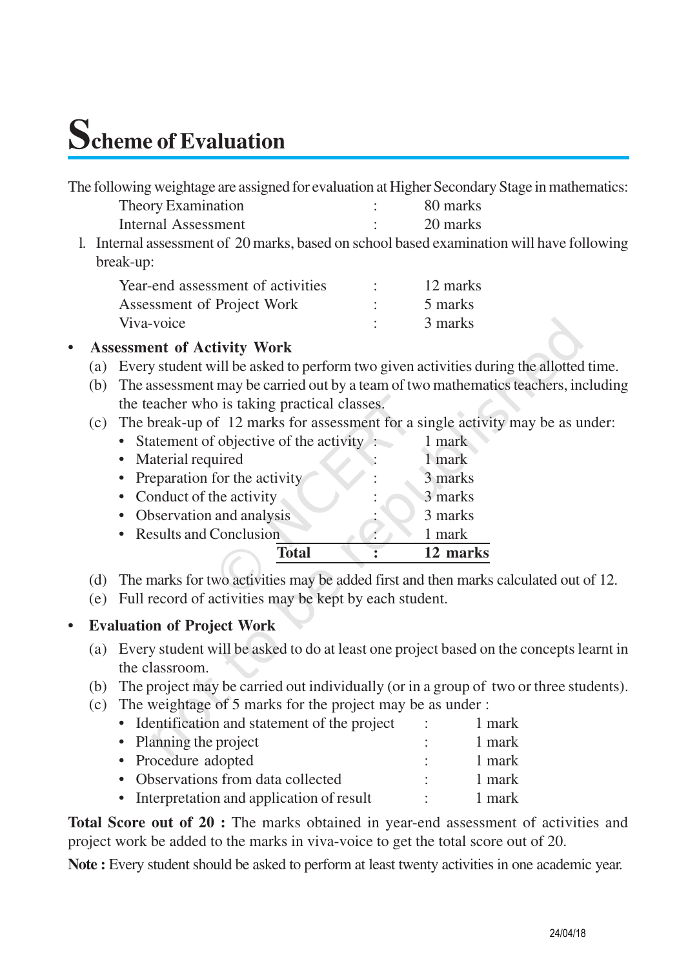### **Scheme of Evaluation**

| The following weightage are assigned for evaluation at Higher Secondary Stage in mathematics: |          |
|-----------------------------------------------------------------------------------------------|----------|
| Theory Examination                                                                            | 80 marks |

| Internal Assessment | 20 marks |
|---------------------|----------|
|                     |          |

l. Internal assessment of 20 marks, based on school based examination will have following break-up:

| Year-end assessment of activities | 12 marks |
|-----------------------------------|----------|
| Assessment of Project Work        | 5 marks  |
| Viva-voice                        | 3 marks  |

#### **• Assessment of Activity Work**

- (a) Every student will be asked to perform two given activities during the allotted time.
- (b) The assessment may be carried out by a team of two mathematics teachers, including the teacher who is taking practical classes.
- (c) The break-up of 12 marks for assessment for a single activity may be as under:

| Total                                     | 12 marks |
|-------------------------------------------|----------|
| • Results and Conclusion                  | 1 mark   |
| • Observation and analysis                | 3 marks  |
| • Conduct of the activity                 | 3 marks  |
| • Preparation for the activity            | 3 marks  |
| • Material required                       | 1 mark   |
| • Statement of objective of the activity: | 1 mark   |

- (d) The marks for two activities may be added first and then marks calculated out of 12.
- (e) Full record of activities may be kept by each student.

#### **• Evaluation of Project Work**

- (a) Every student will be asked to do at least one project based on the concepts learnt in the classroom.
- (b) The project may be carried out individually (or in a group of two or three students).
- (c) The weightage of 5 marks for the project may be as under :

| • Identification and statement of the project | 1 mark |
|-----------------------------------------------|--------|
| • Planning the project                        | 1 mark |
| • Procedure adopted                           | 1 mark |
| • Observations from data collected            | 1 mark |

• Interpretation and application of result : 1 mark

**Total Score out of 20 :** The marks obtained in year-end assessment of activities and project work be added to the marks in viva-voice to get the total score out of 20.

**Note :** Every student should be asked to perform at least twenty activities in one academic year.